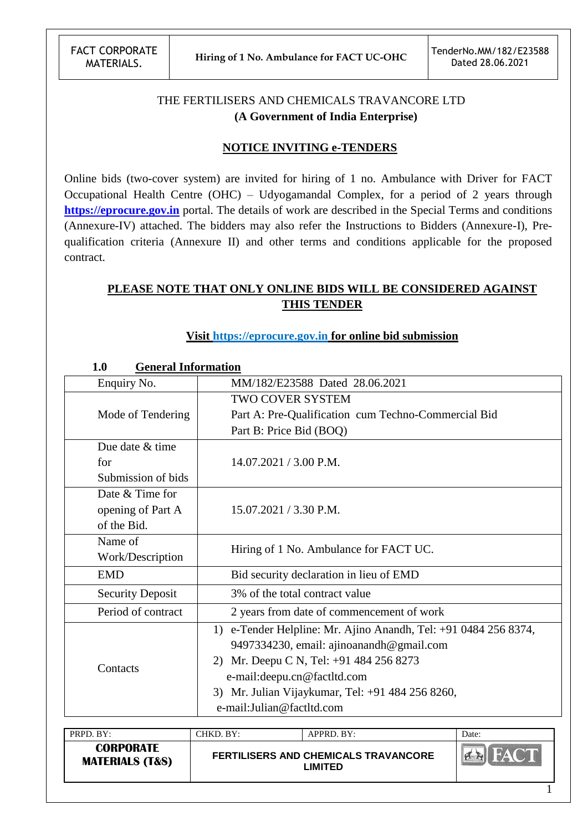# THE FERTILISERS AND CHEMICALS TRAVANCORE LTD **(A Government of India Enterprise)**

#### **NOTICE INVITING e-TENDERS**

Online bids (two-cover system) are invited for hiring of 1 no. Ambulance with Driver for FACT Occupational Health Centre (OHC) – Udyogamandal Complex, for a period of 2 years through **[https://eprocure.gov.in](https://eprocure.gov.in/)** portal. The details of work are described in the Special Terms and conditions (Annexure-IV) attached. The bidders may also refer the Instructions to Bidders (Annexure-I), Prequalification criteria (Annexure II) and other terms and conditions applicable for the proposed contract.

# **PLEASE NOTE THAT ONLY ONLINE BIDS WILL BE CONSIDERED AGAINST THIS TENDER**

#### **Visit [https://eprocure.gov.in](https://eprocure.gov.in/) for online bid submission**

#### **1.0 General Information**

| Enquiry No.             | ovneral linorination<br>MM/182/E23588 Dated 28.06.2021          |
|-------------------------|-----------------------------------------------------------------|
|                         | TWO COVER SYSTEM                                                |
| Mode of Tendering       | Part A: Pre-Qualification cum Techno-Commercial Bid             |
|                         | Part B: Price Bid (BOQ)                                         |
| Due date & time         |                                                                 |
| for                     | 14.07.2021 / 3.00 P.M.                                          |
| Submission of bids      |                                                                 |
| Date & Time for         |                                                                 |
| opening of Part A       | 15.07.2021 / 3.30 P.M.                                          |
| of the Bid.             |                                                                 |
| Name of                 | Hiring of 1 No. Ambulance for FACT UC.                          |
| Work/Description        |                                                                 |
| <b>EMD</b>              | Bid security declaration in lieu of EMD                         |
| <b>Security Deposit</b> | 3% of the total contract value                                  |
| Period of contract      | 2 years from date of commencement of work                       |
|                         | 1) e-Tender Helpline: Mr. Ajino Anandh, Tel: +91 0484 256 8374, |
|                         | 9497334230, email: ajinoanandh@gmail.com                        |
|                         | Mr. Deepu C N, Tel: +91 484 256 8273<br>2)                      |
| Contacts                | e-mail: deepu.cn@factltd.com                                    |
|                         | 3) Mr. Julian Vijaykumar, Tel: +91 484 256 8260,                |
|                         | e-mail:Julian@factltd.com                                       |

| PRPD. BY:                                      | CHKD. BY: | APPRD. BY:                                                    | Date:      |
|------------------------------------------------|-----------|---------------------------------------------------------------|------------|
| <b>CORPORATE</b><br><b>MATERIALS (T&amp;S)</b> |           | <b>FERTILISERS AND CHEMICALS TRAVANCORE</b><br><b>_IMITED</b> | <b>NAT</b> |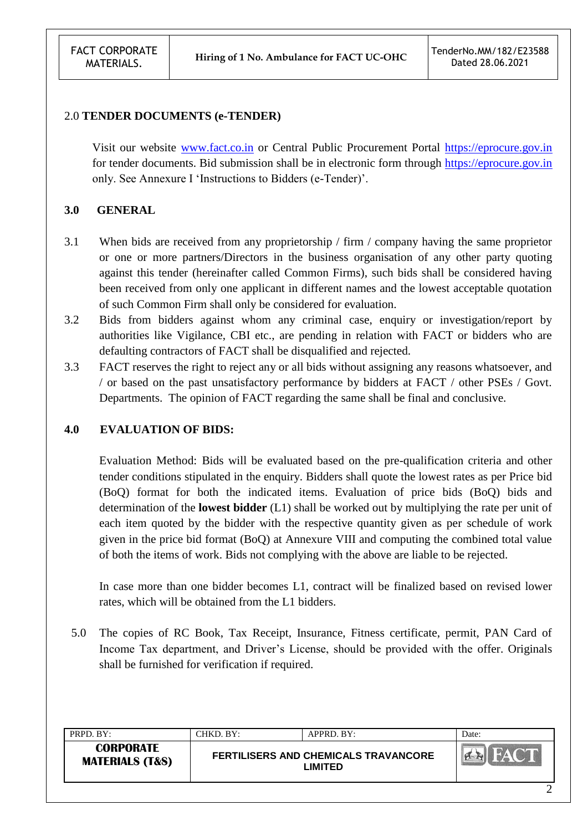#### 2.0 **TENDER DOCUMENTS (e-TENDER)**

Visit our website [www.fact.co.in](http://www.fact.co.in/) or Central Public Procurement Portal [https://eprocure.gov.in](https://eprocure.gov.in/) for tender documents. Bid submission shall be in electronic form through [https://eprocure.gov.in](https://eprocure.gov.in/) only. See Annexure I "Instructions to Bidders (e-Tender)".

#### **3.0 GENERAL**

- 3.1 When bids are received from any proprietorship / firm / company having the same proprietor or one or more partners/Directors in the business organisation of any other party quoting against this tender (hereinafter called Common Firms), such bids shall be considered having been received from only one applicant in different names and the lowest acceptable quotation of such Common Firm shall only be considered for evaluation.
- 3.2 Bids from bidders against whom any criminal case, enquiry or investigation/report by authorities like Vigilance, CBI etc., are pending in relation with FACT or bidders who are defaulting contractors of FACT shall be disqualified and rejected.
- 3.3 FACT reserves the right to reject any or all bids without assigning any reasons whatsoever, and / or based on the past unsatisfactory performance by bidders at FACT / other PSEs / Govt. Departments. The opinion of FACT regarding the same shall be final and conclusive.

#### **4.0 EVALUATION OF BIDS:**

Evaluation Method: Bids will be evaluated based on the pre-qualification criteria and other tender conditions stipulated in the enquiry. Bidders shall quote the lowest rates as per Price bid (BoQ) format for both the indicated items. Evaluation of price bids (BoQ) bids and determination of the **lowest bidder** (L1) shall be worked out by multiplying the rate per unit of each item quoted by the bidder with the respective quantity given as per schedule of work given in the price bid format (BoQ) at Annexure VIII and computing the combined total value of both the items of work. Bids not complying with the above are liable to be rejected.

In case more than one bidder becomes L1, contract will be finalized based on revised lower rates, which will be obtained from the L1 bidders.

5.0 The copies of RC Book, Tax Receipt, Insurance, Fitness certificate, permit, PAN Card of Income Tax department, and Driver"s License, should be provided with the offer. Originals shall be furnished for verification if required.

| PRPD. BY:                                      | CHKD. BY: | APPRD. BY:                                             | Date: |
|------------------------------------------------|-----------|--------------------------------------------------------|-------|
| <b>CORPORATE</b><br><b>MATERIALS (T&amp;S)</b> |           | <b>FERTILISERS AND CHEMICALS TRAVANCORE</b><br>LIMITED |       |
|                                                |           |                                                        |       |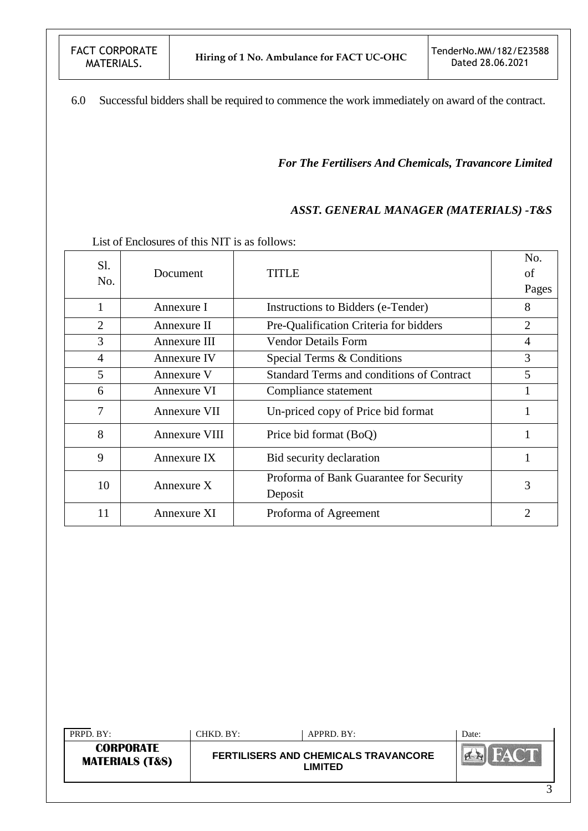6.0 Successful bidders shall be required to commence the work immediately on award of the contract.

*For The Fertilisers And Chemicals, Travancore Limited*

#### *ASST. GENERAL MANAGER (MATERIALS) -T&S*

List of Enclosures of this NIT is as follows:

| Sl.<br>No.     | Document             | TITLE                                              | No.<br>of<br>Pages |
|----------------|----------------------|----------------------------------------------------|--------------------|
| 1              | Annexure I           | Instructions to Bidders (e-Tender)                 | 8                  |
| $\overline{2}$ | Annexure II          | Pre-Qualification Criteria for bidders             | $\overline{2}$     |
| 3              | Annexure III         | <b>Vendor Details Form</b>                         | 4                  |
| 4              | <b>Annexure IV</b>   | Special Terms & Conditions                         | 3                  |
| 5              | Annexure V           | <b>Standard Terms and conditions of Contract</b>   | 5                  |
| 6              | Annexure VI          | Compliance statement                               | 1                  |
| 7              | Annexure VII         | Un-priced copy of Price bid format                 |                    |
| 8              | <b>Annexure VIII</b> | Price bid format (BoQ)                             |                    |
| 9              | Annexure IX          | Bid security declaration                           | 1                  |
| 10             | Annexure $X$         | Proforma of Bank Guarantee for Security<br>Deposit | 3                  |
| 11             | Annexure XI          | Proforma of Agreement                              | $\overline{2}$     |

| PRPD. BY:                                      | CHKD. BY: | APPRD. BY:                                      | Date:  |
|------------------------------------------------|-----------|-------------------------------------------------|--------|
| <b>CORPORATE</b><br><b>MATERIALS (T&amp;S)</b> |           | FERTILISERS AND CHEMICALS TRAVANCORE<br>_IMITED |        |
|                                                |           |                                                 | $\sim$ |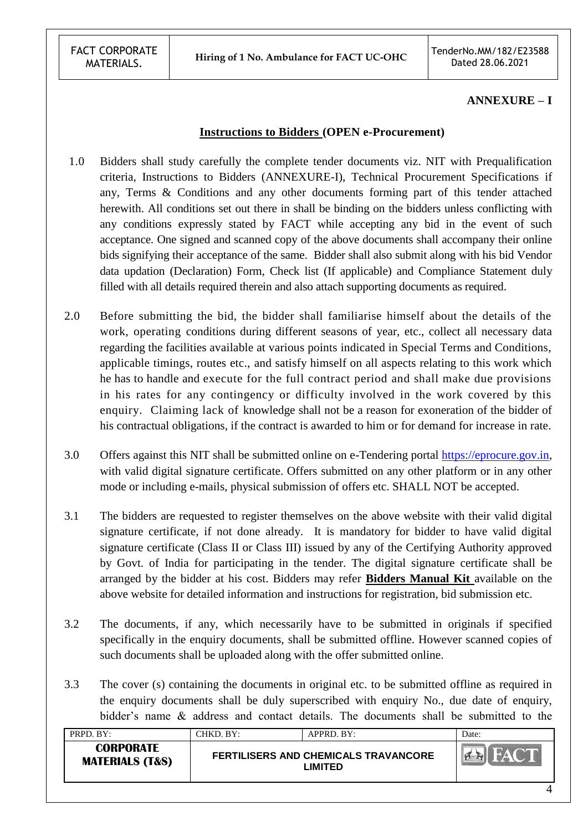#### **ANNEXURE – I**

#### **Instructions to Bidders (OPEN e-Procurement)**

- 1.0 Bidders shall study carefully the complete tender documents viz. NIT with Prequalification criteria, Instructions to Bidders (ANNEXURE-I), Technical Procurement Specifications if any, Terms & Conditions and any other documents forming part of this tender attached herewith. All conditions set out there in shall be binding on the bidders unless conflicting with any conditions expressly stated by FACT while accepting any bid in the event of such acceptance. One signed and scanned copy of the above documents shall accompany their online bids signifying their acceptance of the same. Bidder shall also submit along with his bid Vendor data updation (Declaration) Form, Check list (If applicable) and Compliance Statement duly filled with all details required therein and also attach supporting documents as required.
- 2.0 Before submitting the bid, the bidder shall familiarise himself about the details of the work, operating conditions during different seasons of year, etc., collect all necessary data regarding the facilities available at various points indicated in Special Terms and Conditions, applicable timings, routes etc., and satisfy himself on all aspects relating to this work which he has to handle and execute for the full contract period and shall make due provisions in his rates for any contingency or difficulty involved in the work covered by this enquiry. Claiming lack of knowledge shall not be a reason for exoneration of the bidder of his contractual obligations, if the contract is awarded to him or for demand for increase in rate.
- 3.0 Offers against this NIT shall be submitted online on e-Tendering portal [https://eprocure.gov.in,](https://eprocure.gov.in/) with valid digital signature certificate. Offers submitted on any other platform or in any other mode or including e-mails, physical submission of offers etc. SHALL NOT be accepted.
- 3.1 The bidders are requested to register themselves on the above website with their valid digital signature certificate, if not done already. It is mandatory for bidder to have valid digital signature certificate (Class II or Class III) issued by any of the Certifying Authority approved by Govt. of India for participating in the tender. The digital signature certificate shall be arranged by the bidder at his cost. Bidders may refer **Bidders Manual Kit** available on the above website for detailed information and instructions for registration, bid submission etc.
- 3.2 The documents, if any, which necessarily have to be submitted in originals if specified specifically in the enquiry documents, shall be submitted offline. However scanned copies of such documents shall be uploaded along with the offer submitted online.
- 3.3 The cover (s) containing the documents in original etc. to be submitted offline as required in the enquiry documents shall be duly superscribed with enquiry No., due date of enquiry, bidder"s name & address and contact details. The documents shall be submitted to the

| <b>CORPORATE</b><br><b>FERTILISERS AND CHEMICALS TRAVANCORE</b><br><b>MATERIALS (T&amp;S)</b><br>LIMITED | PRPD, BY: | CHKD. BY:- | APPRD. BY: | Date: |
|----------------------------------------------------------------------------------------------------------|-----------|------------|------------|-------|
|                                                                                                          |           |            |            |       |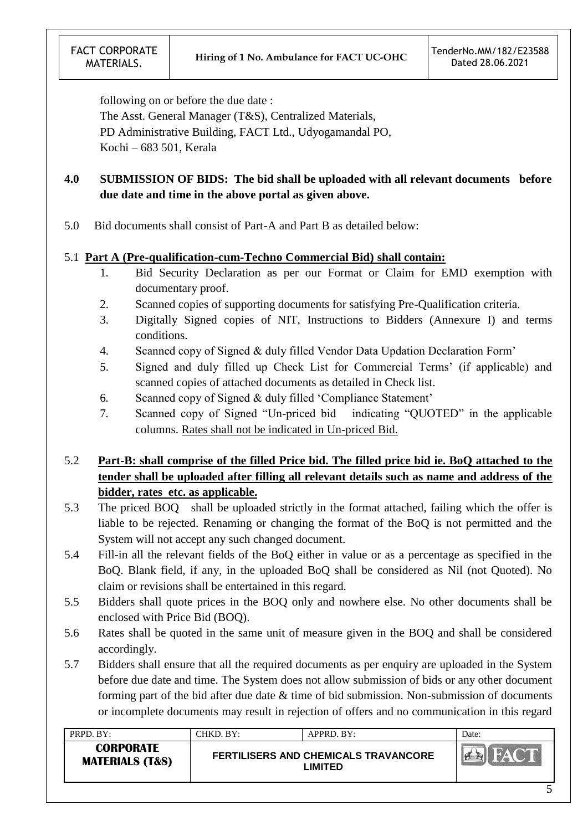following on or before the due date :

The Asst. General Manager (T&S), Centralized Materials, PD Administrative Building, FACT Ltd., Udyogamandal PO, Kochi – 683 501, Kerala

# **4.0 SUBMISSION OF BIDS: The bid shall be uploaded with all relevant documents before due date and time in the above portal as given above.**

5.0 Bid documents shall consist of Part-A and Part B as detailed below:

#### 5.1 **Part A (Pre-qualification-cum-Techno Commercial Bid) shall contain:**

- 1. Bid Security Declaration as per our Format or Claim for EMD exemption with documentary proof.
- 2. Scanned copies of supporting documents for satisfying Pre-Qualification criteria.
- 3. Digitally Signed copies of NIT, Instructions to Bidders (Annexure I) and terms conditions.
- 4. Scanned copy of Signed & duly filled Vendor Data Updation Declaration Form"
- 5. Signed and duly filled up Check List for Commercial Terms" (if applicable) and scanned copies of attached documents as detailed in Check list.
- 6. Scanned copy of Signed & duly filled "Compliance Statement"
- 7. Scanned copy of Signed "Un-priced bid indicating "QUOTED" in the applicable columns. Rates shall not be indicated in Un-priced Bid.

# 5.2 **Part-B: shall comprise of the filled Price bid. The filled price bid ie. BoQ attached to the tender shall be uploaded after filling all relevant details such as name and address of the bidder, rates etc. as applicable.**

- 5.3 The priced BOQ shall be uploaded strictly in the format attached, failing which the offer is liable to be rejected. Renaming or changing the format of the BoQ is not permitted and the System will not accept any such changed document.
- 5.4 Fill-in all the relevant fields of the BoQ either in value or as a percentage as specified in the BoQ. Blank field, if any, in the uploaded BoQ shall be considered as Nil (not Quoted). No claim or revisions shall be entertained in this regard.
- 5.5 Bidders shall quote prices in the BOQ only and nowhere else. No other documents shall be enclosed with Price Bid (BOQ).
- 5.6 Rates shall be quoted in the same unit of measure given in the BOQ and shall be considered accordingly.
- 5.7 Bidders shall ensure that all the required documents as per enquiry are uploaded in the System before due date and time. The System does not allow submission of bids or any other document forming part of the bid after due date & time of bid submission. Non-submission of documents or incomplete documents may result in rejection of offers and no communication in this regard

| PRPD. BY:                                      | CHKD. BY: | $APPRD$ . BY:                                          | Date:         |
|------------------------------------------------|-----------|--------------------------------------------------------|---------------|
| <b>CORPORATE</b><br><b>MATERIALS (T&amp;S)</b> |           | <b>FERTILISERS AND CHEMICALS TRAVANCORE</b><br>LIMITED | <b>CALLES</b> |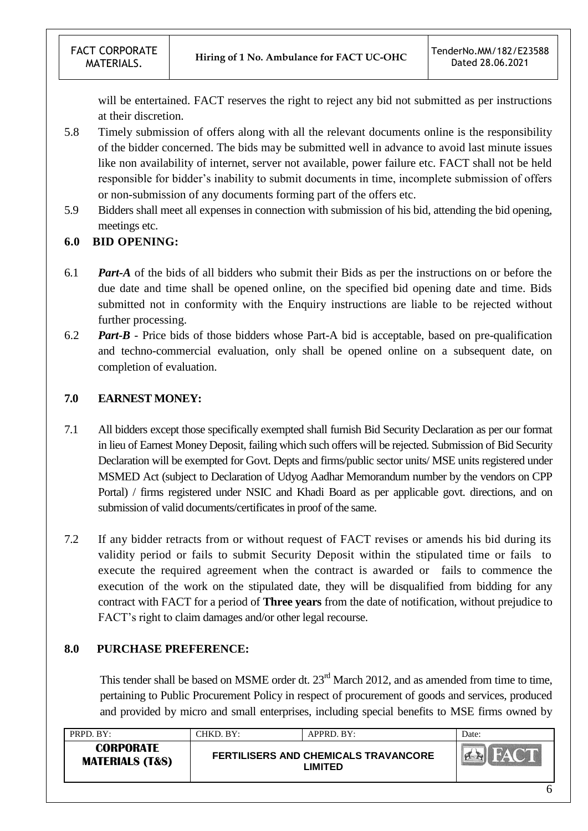will be entertained. FACT reserves the right to reject any bid not submitted as per instructions at their discretion.

- 5.8 Timely submission of offers along with all the relevant documents online is the responsibility of the bidder concerned. The bids may be submitted well in advance to avoid last minute issues like non availability of internet, server not available, power failure etc. FACT shall not be held responsible for bidder"s inability to submit documents in time, incomplete submission of offers or non-submission of any documents forming part of the offers etc.
- 5.9 Bidders shall meet all expenses in connection with submission of his bid, attending the bid opening, meetings etc.

#### **6.0 BID OPENING:**

- 6.1 *Part-A* of the bids of all bidders who submit their Bids as per the instructions on or before the due date and time shall be opened online, on the specified bid opening date and time. Bids submitted not in conformity with the Enquiry instructions are liable to be rejected without further processing.
- 6.2 *Part-B* Price bids of those bidders whose Part-A bid is acceptable, based on pre-qualification and techno-commercial evaluation, only shall be opened online on a subsequent date, on completion of evaluation.

## **7.0 EARNEST MONEY:**

- 7.1 All bidders except those specifically exempted shall furnish Bid Security Declaration as per our format in lieu of Earnest Money Deposit, failing which such offers will be rejected. Submission of Bid Security Declaration will be exempted for Govt. Depts and firms/public sector units/ MSE units registered under MSMED Act (subject to Declaration of Udyog Aadhar Memorandum number by the vendors on CPP Portal) / firms registered under NSIC and Khadi Board as per applicable govt. directions, and on submission of valid documents/certificates in proof of the same.
- 7.2 If any bidder retracts from or without request of FACT revises or amends his bid during its validity period or fails to submit Security Deposit within the stipulated time or fails to execute the required agreement when the contract is awarded or fails to commence the execution of the work on the stipulated date, they will be disqualified from bidding for any contract with FACT for a period of **Three years** from the date of notification, without prejudice to FACT"s right to claim damages and/or other legal recourse.

## **8.0 PURCHASE PREFERENCE:**

This tender shall be based on MSME order dt. 23<sup>rd</sup> March 2012, and as amended from time to time, pertaining to Public Procurement Policy in respect of procurement of goods and services, produced and provided by micro and small enterprises, including special benefits to MSE firms owned by

| PRPD. BY:                                      | CHKD. BY:- | APPRD. BY:                                             | Date: |
|------------------------------------------------|------------|--------------------------------------------------------|-------|
| <b>CORPORATE</b><br><b>MATERIALS (T&amp;S)</b> |            | <b>FERTILISERS AND CHEMICALS TRAVANCORE</b><br>LIMITED |       |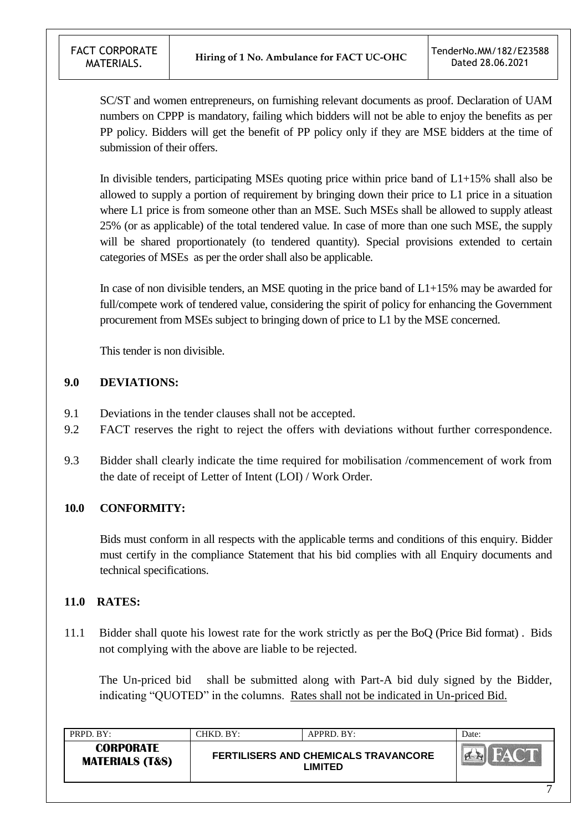SC/ST and women entrepreneurs, on furnishing relevant documents as proof. Declaration of UAM numbers on CPPP is mandatory, failing which bidders will not be able to enjoy the benefits as per PP policy. Bidders will get the benefit of PP policy only if they are MSE bidders at the time of submission of their offers.

In divisible tenders, participating MSEs quoting price within price band of L1+15% shall also be allowed to supply a portion of requirement by bringing down their price to L1 price in a situation where L1 price is from someone other than an MSE. Such MSEs shall be allowed to supply at least 25% (or as applicable) of the total tendered value. In case of more than one such MSE, the supply will be shared proportionately (to tendered quantity). Special provisions extended to certain categories of MSEs as per the order shall also be applicable.

In case of non divisible tenders, an MSE quoting in the price band of  $L1+15%$  may be awarded for full/compete work of tendered value, considering the spirit of policy for enhancing the Government procurement from MSEs subject to bringing down of price to L1 by the MSE concerned.

This tender is non divisible.

## **9.0 DEVIATIONS:**

- 9.1 Deviations in the tender clauses shall not be accepted.
- 9.2 FACT reserves the right to reject the offers with deviations without further correspondence.
- 9.3 Bidder shall clearly indicate the time required for mobilisation /commencement of work from the date of receipt of Letter of Intent (LOI) / Work Order.

## **10.0 CONFORMITY:**

Bids must conform in all respects with the applicable terms and conditions of this enquiry. Bidder must certify in the compliance Statement that his bid complies with all Enquiry documents and technical specifications.

## **11.0 RATES:**

11.1 Bidder shall quote his lowest rate for the work strictly as per the BoQ (Price Bid format) . Bids not complying with the above are liable to be rejected.

The Un-priced bid shall be submitted along with Part-A bid duly signed by the Bidder, indicating "QUOTED" in the columns. Rates shall not be indicated in Un-priced Bid.

| PRPD. BY:                                      | CHKD. BY: | APPRD. BY:                                             | Date:      |
|------------------------------------------------|-----------|--------------------------------------------------------|------------|
| <b>CORPORATE</b><br><b>MATERIALS (T&amp;S)</b> |           | <b>FERTILISERS AND CHEMICALS TRAVANCORE</b><br>LIMITED | <b>NAV</b> |
|                                                |           |                                                        | −          |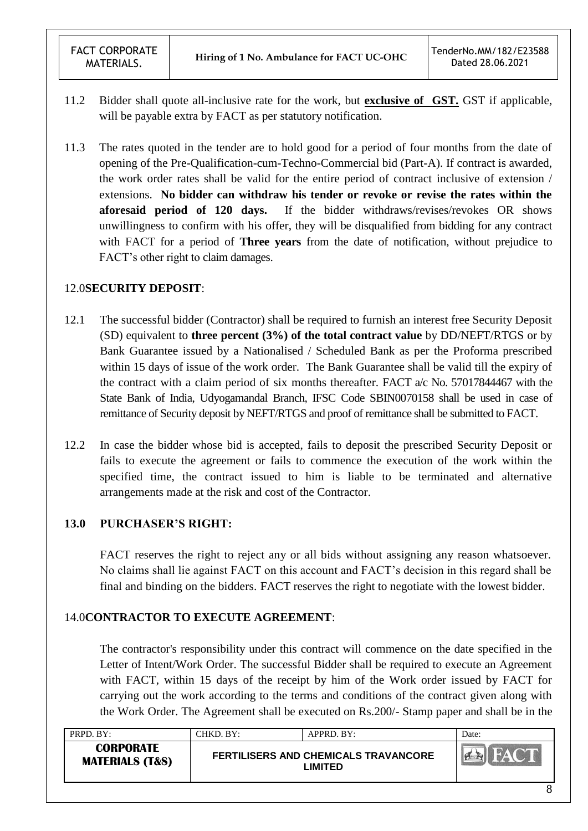- 11.2 Bidder shall quote all-inclusive rate for the work, but **exclusive of GST.** GST if applicable, will be payable extra by FACT as per statutory notification.
- 11.3 The rates quoted in the tender are to hold good for a period of four months from the date of opening of the Pre-Qualification-cum-Techno-Commercial bid (Part-A). If contract is awarded, the work order rates shall be valid for the entire period of contract inclusive of extension / extensions. **No bidder can withdraw his tender or revoke or revise the rates within the aforesaid period of 120 days.** If the bidder withdraws/revises/revokes OR shows unwillingness to confirm with his offer, they will be disqualified from bidding for any contract with FACT for a period of **Three years** from the date of notification, without prejudice to FACT"s other right to claim damages.

## 12.0**SECURITY DEPOSIT**:

- 12.1 The successful bidder (Contractor) shall be required to furnish an interest free Security Deposit (SD) equivalent to **three percent (3%) of the total contract value** by DD/NEFT/RTGS or by Bank Guarantee issued by a Nationalised / Scheduled Bank as per the Proforma prescribed within 15 days of issue of the work order. The Bank Guarantee shall be valid till the expiry of the contract with a claim period of six months thereafter. FACT a/c No. 57017844467 with the State Bank of India, Udyogamandal Branch, IFSC Code SBIN0070158 shall be used in case of remittance of Security deposit by NEFT/RTGS and proof of remittance shall be submitted to FACT.
- 12.2 In case the bidder whose bid is accepted, fails to deposit the prescribed Security Deposit or fails to execute the agreement or fails to commence the execution of the work within the specified time, the contract issued to him is liable to be terminated and alternative arrangements made at the risk and cost of the Contractor.

## **13.0 PURCHASER'S RIGHT:**

FACT reserves the right to reject any or all bids without assigning any reason whatsoever. No claims shall lie against FACT on this account and FACT"s decision in this regard shall be final and binding on the bidders. FACT reserves the right to negotiate with the lowest bidder.

## 14.0**CONTRACTOR TO EXECUTE AGREEMENT**:

The contractor's responsibility under this contract will commence on the date specified in the Letter of Intent/Work Order. The successful Bidder shall be required to execute an Agreement with FACT, within 15 days of the receipt by him of the Work order issued by FACT for carrying out the work according to the terms and conditions of the contract given along with the Work Order. The Agreement shall be executed on Rs.200/- Stamp paper and shall be in the

| PRPD. BY:                                      | CHKD. BY:- | APPRD. BY:                                             | Date: |
|------------------------------------------------|------------|--------------------------------------------------------|-------|
| <b>CORPORATE</b><br><b>MATERIALS (T&amp;S)</b> |            | <b>FERTILISERS AND CHEMICALS TRAVANCORE</b><br>_IMITED |       |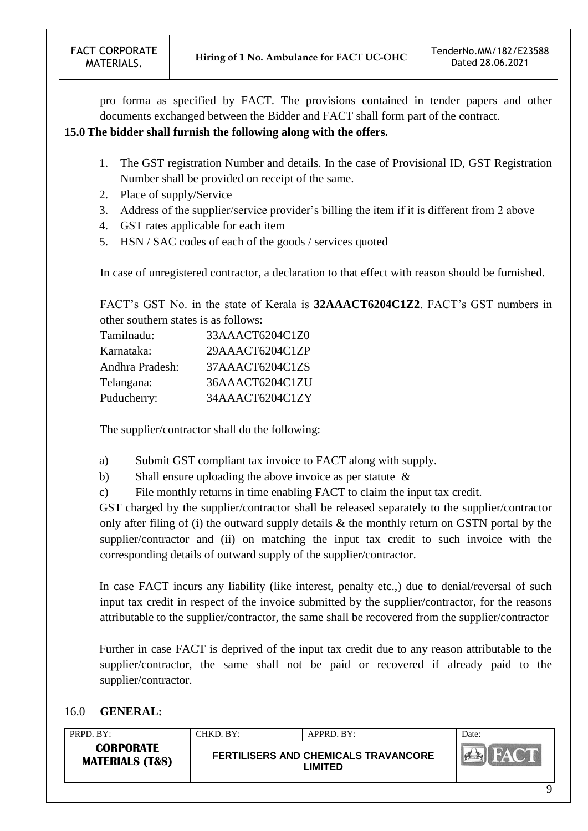pro forma as specified by FACT. The provisions contained in tender papers and other documents exchanged between the Bidder and FACT shall form part of the contract.

### **15.0 The bidder shall furnish the following along with the offers.**

- 1. The GST registration Number and details. In the case of Provisional ID, GST Registration Number shall be provided on receipt of the same.
- 2. Place of supply/Service
- 3. Address of the supplier/service provider"s billing the item if it is different from 2 above
- 4. GST rates applicable for each item
- 5. HSN / SAC codes of each of the goods / services quoted

In case of unregistered contractor, a declaration to that effect with reason should be furnished.

FACT's GST No. in the state of Kerala is **32AAACT6204C1Z2**. FACT's GST numbers in other southern states is as follows:

| Tamilnadu:      | 33AAACT6204C1Z0 |
|-----------------|-----------------|
| Karnataka:      | 29AAACT6204C1ZP |
| Andhra Pradesh: | 37AAACT6204C1ZS |
| Telangana:      | 36AAACT6204C1ZU |
| Puducherry:     | 34AAACT6204C1ZY |

The supplier/contractor shall do the following:

- a) Submit GST compliant tax invoice to FACT along with supply.
- b) Shall ensure uploading the above invoice as per statute &
- c) File monthly returns in time enabling FACT to claim the input tax credit.

GST charged by the supplier/contractor shall be released separately to the supplier/contractor only after filing of (i) the outward supply details & the monthly return on GSTN portal by the supplier/contractor and (ii) on matching the input tax credit to such invoice with the corresponding details of outward supply of the supplier/contractor.

In case FACT incurs any liability (like interest, penalty etc.,) due to denial/reversal of such input tax credit in respect of the invoice submitted by the supplier/contractor, for the reasons attributable to the supplier/contractor, the same shall be recovered from the supplier/contractor

Further in case FACT is deprived of the input tax credit due to any reason attributable to the supplier/contractor, the same shall not be paid or recovered if already paid to the supplier/contractor.

#### 16.0 **GENERAL:**

| PRPD. BY:                                      | CHKD. BY: | $APPRD$ . BY:                                          | Date:  |
|------------------------------------------------|-----------|--------------------------------------------------------|--------|
| <b>CORPORATE</b><br><b>MATERIALS (T&amp;S)</b> |           | <b>FERTILISERS AND CHEMICALS TRAVANCORE</b><br>LIMITED | $-W_A$ |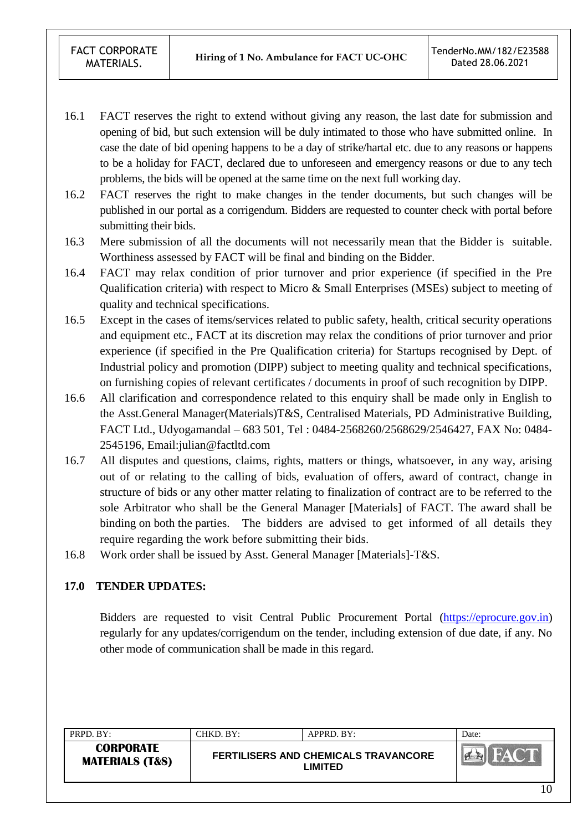- 16.1 FACT reserves the right to extend without giving any reason, the last date for submission and opening of bid, but such extension will be duly intimated to those who have submitted online. In case the date of bid opening happens to be a day of strike/hartal etc. due to any reasons or happens to be a holiday for FACT, declared due to unforeseen and emergency reasons or due to any tech problems, the bids will be opened at the same time on the next full working day.
- 16.2 FACT reserves the right to make changes in the tender documents, but such changes will be published in our portal as a corrigendum. Bidders are requested to counter check with portal before submitting their bids.
- 16.3 Mere submission of all the documents will not necessarily mean that the Bidder is suitable. Worthiness assessed by FACT will be final and binding on the Bidder.
- 16.4 FACT may relax condition of prior turnover and prior experience (if specified in the Pre Qualification criteria) with respect to Micro & Small Enterprises (MSEs) subject to meeting of quality and technical specifications.
- 16.5 Except in the cases of items/services related to public safety, health, critical security operations and equipment etc., FACT at its discretion may relax the conditions of prior turnover and prior experience (if specified in the Pre Qualification criteria) for Startups recognised by Dept. of Industrial policy and promotion (DIPP) subject to meeting quality and technical specifications, on furnishing copies of relevant certificates / documents in proof of such recognition by DIPP.
- 16.6 All clarification and correspondence related to this enquiry shall be made only in English to the Asst.General Manager(Materials)T&S, Centralised Materials, PD Administrative Building, FACT Ltd., Udyogamandal – 683 501, Tel : 0484-2568260/2568629/2546427, FAX No: 0484- 2545196, Email:julian@factltd.com
- 16.7 All disputes and questions, claims, rights, matters or things, whatsoever, in any way, arising out of or relating to the calling of bids, evaluation of offers, award of contract, change in structure of bids or any other matter relating to finalization of contract are to be referred to the sole Arbitrator who shall be the General Manager [Materials] of FACT. The award shall be binding on both the parties. The bidders are advised to get informed of all details they require regarding the work before submitting their bids.
- 16.8 Work order shall be issued by Asst. General Manager [Materials]-T&S.

#### **17.0 TENDER UPDATES:**

Bidders are requested to visit Central Public Procurement Portal [\(https://eprocure.gov.in\)](https://eprocure.gov.in/) regularly for any updates/corrigendum on the tender, including extension of due date, if any. No other mode of communication shall be made in this regard.

| PRPD. BY:                                      | CHKD. BY:- | APPRD. BY:                                             | Date: |
|------------------------------------------------|------------|--------------------------------------------------------|-------|
| <b>CORPORATE</b><br><b>MATERIALS (T&amp;S)</b> |            | <b>FERTILISERS AND CHEMICALS TRAVANCORE</b><br>_IMITED |       |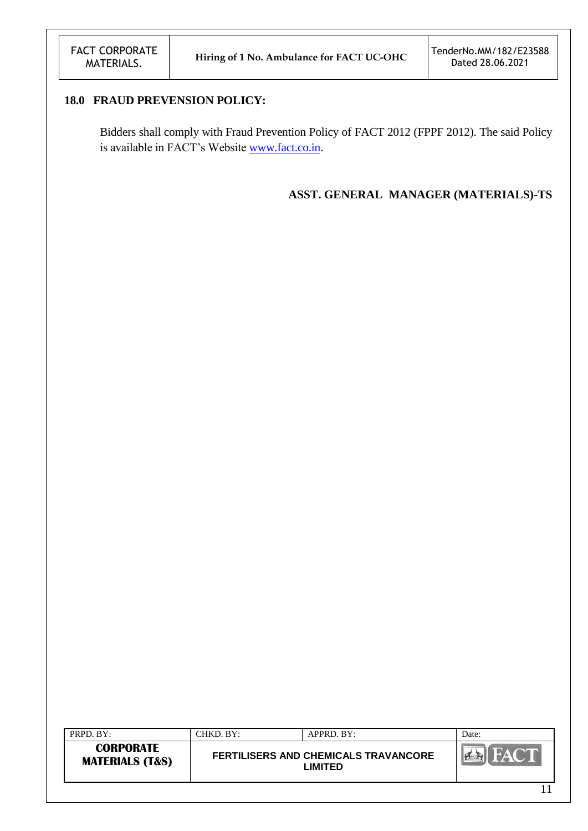## **18.0 FRAUD PREVENSION POLICY:**

Bidders shall comply with Fraud Prevention Policy of FACT 2012 (FPPF 2012). The said Policy is available in FACT's Website [www.fact.co.in.](http://www.fact.co.in/)

#### **ASST. GENERAL MANAGER (MATERIALS)-TS**

| PRPD. BY:                                      | CHKD. BY: | APPRD. BY:                                                    | Date: |
|------------------------------------------------|-----------|---------------------------------------------------------------|-------|
| <b>CORPORATE</b><br><b>MATERIALS (T&amp;S)</b> |           | <b>FERTILISERS AND CHEMICALS TRAVANCORE</b><br><b>_IMITED</b> |       |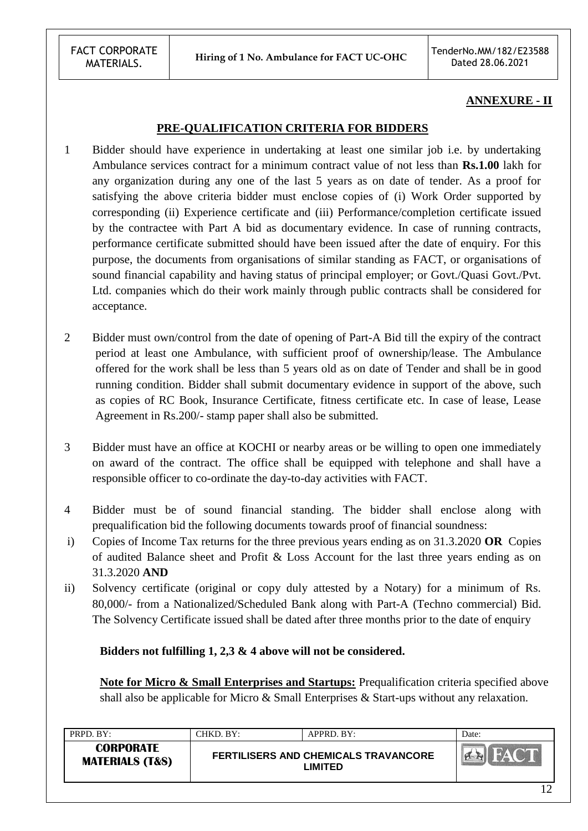#### **ANNEXURE - II**

#### **PRE-QUALIFICATION CRITERIA FOR BIDDERS**

- 1 Bidder should have experience in undertaking at least one similar job i.e. by undertaking Ambulance services contract for a minimum contract value of not less than **Rs.1.00** lakh for any organization during any one of the last 5 years as on date of tender. As a proof for satisfying the above criteria bidder must enclose copies of (i) Work Order supported by corresponding (ii) Experience certificate and (iii) Performance/completion certificate issued by the contractee with Part A bid as documentary evidence. In case of running contracts, performance certificate submitted should have been issued after the date of enquiry. For this purpose, the documents from organisations of similar standing as FACT, or organisations of sound financial capability and having status of principal employer; or Govt./Quasi Govt./Pvt. Ltd. companies which do their work mainly through public contracts shall be considered for acceptance.
- 2 Bidder must own/control from the date of opening of Part-A Bid till the expiry of the contract period at least one Ambulance, with sufficient proof of ownership/lease. The Ambulance offered for the work shall be less than 5 years old as on date of Tender and shall be in good running condition. Bidder shall submit documentary evidence in support of the above, such as copies of RC Book, Insurance Certificate, fitness certificate etc. In case of lease, Lease Agreement in Rs.200/- stamp paper shall also be submitted.
- 3 Bidder must have an office at KOCHI or nearby areas or be willing to open one immediately on award of the contract. The office shall be equipped with telephone and shall have a responsible officer to co-ordinate the day-to-day activities with FACT.
- 4 Bidder must be of sound financial standing. The bidder shall enclose along with prequalification bid the following documents towards proof of financial soundness:
- i) Copies of Income Tax returns for the three previous years ending as on 31.3.2020 **OR** Copies of audited Balance sheet and Profit & Loss Account for the last three years ending as on 31.3.2020 **AND**
- ii) Solvency certificate (original or copy duly attested by a Notary) for a minimum of Rs. 80,000/- from a Nationalized/Scheduled Bank along with Part-A (Techno commercial) Bid. The Solvency Certificate issued shall be dated after three months prior to the date of enquiry

**Bidders not fulfilling 1, 2,3 & 4 above will not be considered.**

**Note for Micro & Small Enterprises and Startups:** Prequalification criteria specified above shall also be applicable for Micro & Small Enterprises & Start-ups without any relaxation.

| PRPD. BY:                                      | CHKD, BY: | APPRD. BY:                                             | Date: |
|------------------------------------------------|-----------|--------------------------------------------------------|-------|
| <b>CORPORATE</b><br><b>MATERIALS (T&amp;S)</b> |           | <b>FERTILISERS AND CHEMICALS TRAVANCORE</b><br>LIMITED |       |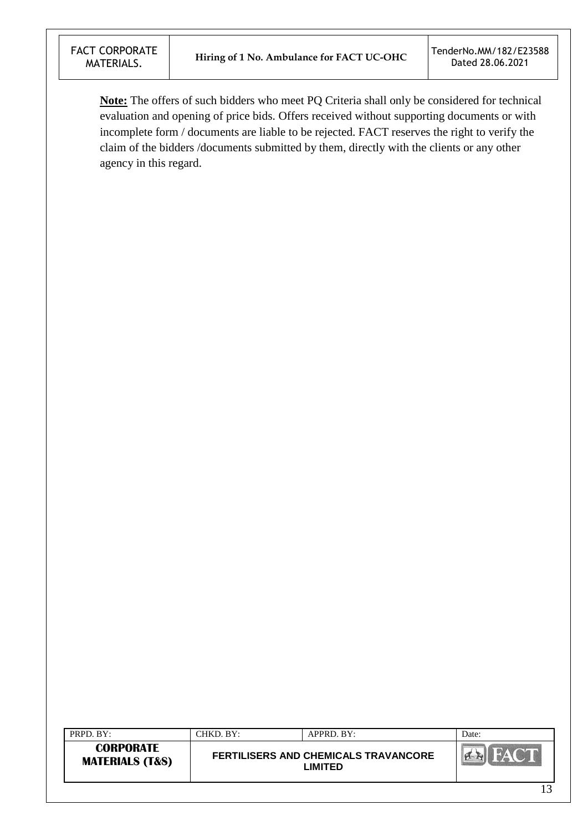**Note:** The offers of such bidders who meet PQ Criteria shall only be considered for technical evaluation and opening of price bids. Offers received without supporting documents or with incomplete form / documents are liable to be rejected. FACT reserves the right to verify the claim of the bidders /documents submitted by them, directly with the clients or any other agency in this regard.

| PRPD. BY:                                      | CHKD. BY: | APPRD. BY:                                                    | Date:  |
|------------------------------------------------|-----------|---------------------------------------------------------------|--------|
| <b>CORPORATE</b><br><b>MATERIALS (T&amp;S)</b> |           | <b>FERTILISERS AND CHEMICALS TRAVANCORE</b><br><b>_IMITED</b> | FALC.  |
|                                                |           |                                                               | $\sim$ |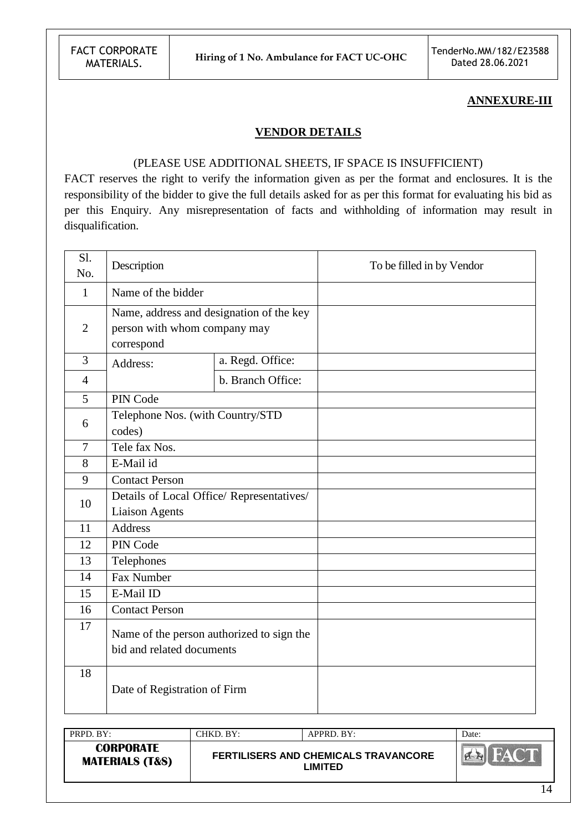FACT CORPORATE<br>MATERIALS.

#### **ANNEXURE-III**

#### **VENDOR DETAILS**

#### (PLEASE USE ADDITIONAL SHEETS, IF SPACE IS INSUFFICIENT)

FACT reserves the right to verify the information given as per the format and enclosures. It is the responsibility of the bidder to give the full details asked for as per this format for evaluating his bid as per this Enquiry. Any misrepresentation of facts and withholding of information may result in disqualification.

| Sl.<br>No.     | Description                                                            |                                                                          | To be filled in by Vendor |
|----------------|------------------------------------------------------------------------|--------------------------------------------------------------------------|---------------------------|
| $\mathbf{1}$   | Name of the bidder                                                     |                                                                          |                           |
| $\overline{2}$ | correspond                                                             | Name, address and designation of the key<br>person with whom company may |                           |
| 3              | Address:                                                               | a. Regd. Office:                                                         |                           |
| $\overline{4}$ |                                                                        | b. Branch Office:                                                        |                           |
| 5              | PIN Code                                                               |                                                                          |                           |
| 6              | codes)                                                                 | Telephone Nos. (with Country/STD                                         |                           |
| $\overline{7}$ | Tele fax Nos.                                                          |                                                                          |                           |
| 8              | E-Mail id                                                              |                                                                          |                           |
| 9              | <b>Contact Person</b>                                                  |                                                                          |                           |
| 10             |                                                                        | Details of Local Office/ Representatives/                                |                           |
|                | <b>Liaison Agents</b>                                                  |                                                                          |                           |
| 11             | <b>Address</b>                                                         |                                                                          |                           |
| 12             | PIN Code                                                               |                                                                          |                           |
| 13             | Telephones                                                             |                                                                          |                           |
| 14             | <b>Fax Number</b>                                                      |                                                                          |                           |
| 15             | E-Mail ID                                                              |                                                                          |                           |
| 16             | <b>Contact Person</b>                                                  |                                                                          |                           |
| 17             | Name of the person authorized to sign the<br>bid and related documents |                                                                          |                           |
| 18             | Date of Registration of Firm                                           |                                                                          |                           |

| PRPD. BY:                                      | CHKD. BY: | APPRD. BY:                                             | Date: |
|------------------------------------------------|-----------|--------------------------------------------------------|-------|
| <b>CORPORATE</b><br><b>MATERIALS (T&amp;S)</b> |           | <b>FERTILISERS AND CHEMICALS TRAVANCORE</b><br>∟IMITED |       |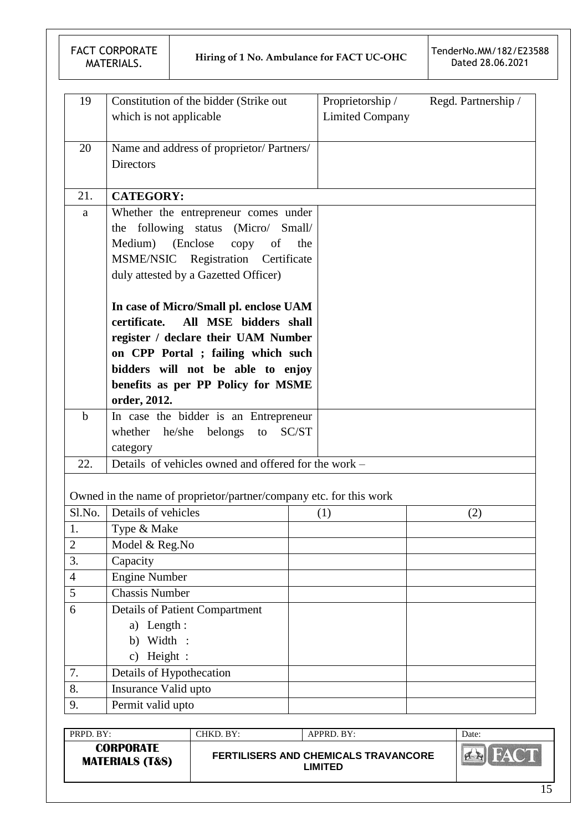| 19             | Constitution of the bidder (Strike out<br>which is not applicable                         | Proprietorship /<br><b>Limited Company</b> | Regd. Partnership / |
|----------------|-------------------------------------------------------------------------------------------|--------------------------------------------|---------------------|
|                |                                                                                           |                                            |                     |
| 20             | Name and address of proprietor/ Partners/                                                 |                                            |                     |
|                | Directors                                                                                 |                                            |                     |
|                |                                                                                           |                                            |                     |
| 21.            | <b>CATEGORY:</b>                                                                          |                                            |                     |
| $\rm{a}$       | Whether the entrepreneur comes under                                                      |                                            |                     |
|                | the following status (Micro/ Small/                                                       |                                            |                     |
|                | Medium)<br>(Enclose)<br>copy<br>of<br>the                                                 |                                            |                     |
|                | MSME/NSIC Registration Certificate                                                        |                                            |                     |
|                | duly attested by a Gazetted Officer)                                                      |                                            |                     |
|                |                                                                                           |                                            |                     |
|                | In case of Micro/Small pl. enclose UAM                                                    |                                            |                     |
|                | certificate.<br>All MSE bidders shall                                                     |                                            |                     |
|                | register / declare their UAM Number                                                       |                                            |                     |
|                | on CPP Portal ; failing which such                                                        |                                            |                     |
|                | bidders will not be able to enjoy                                                         |                                            |                     |
|                | benefits as per PP Policy for MSME                                                        |                                            |                     |
|                | order, 2012.                                                                              |                                            |                     |
| $\mathbf b$    | In case the bidder is an Entrepreneur                                                     |                                            |                     |
|                | whether he/she belongs<br>SC/ST<br>to                                                     |                                            |                     |
|                | category                                                                                  |                                            |                     |
| 22.            | Details of vehicles owned and offered for the work -                                      |                                            |                     |
|                |                                                                                           |                                            |                     |
| Sl.No.         | Owned in the name of proprietor/partner/company etc. for this work<br>Details of vehicles |                                            |                     |
| 1.             |                                                                                           | (1)                                        | (2)                 |
| $\overline{2}$ | Type & Make<br>Model & Reg.No                                                             |                                            |                     |
| 3.             | Capacity                                                                                  |                                            |                     |
| $\overline{4}$ | <b>Engine Number</b>                                                                      |                                            |                     |
| 5              | <b>Chassis Number</b>                                                                     |                                            |                     |
| 6              | <b>Details of Patient Compartment</b>                                                     |                                            |                     |
|                | a) Length:                                                                                |                                            |                     |
|                | Width:<br>b)                                                                              |                                            |                     |
|                | c) Height :                                                                               |                                            |                     |
| 7.             | Details of Hypothecation                                                                  |                                            |                     |
| 8.             | Insurance Valid upto                                                                      |                                            |                     |
| 9.             | Permit valid upto                                                                         |                                            |                     |
|                |                                                                                           |                                            |                     |

| <b>CORPORATE</b><br><b>MATERIALS (T&amp;S)</b> | <b>FERTILISERS AND CHEMICALS TRAVANCORE</b><br><b>_IMITED</b> |  |
|------------------------------------------------|---------------------------------------------------------------|--|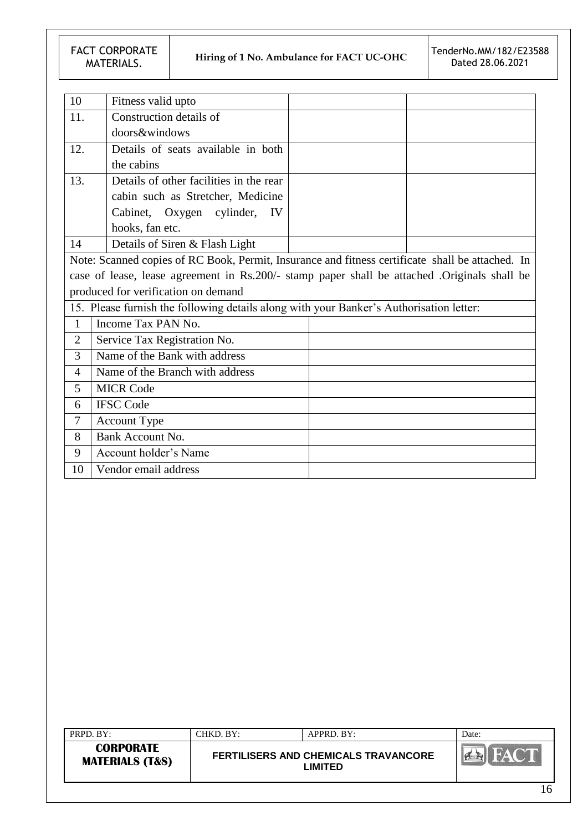FACT CORPORATE<br>MATERIALS.

| 10             | Fitness valid upto                                                                      |                                                                                                  |
|----------------|-----------------------------------------------------------------------------------------|--------------------------------------------------------------------------------------------------|
| 11.            | Construction details of                                                                 |                                                                                                  |
|                | doors&windows                                                                           |                                                                                                  |
| 12.            | Details of seats available in both                                                      |                                                                                                  |
|                | the cabins                                                                              |                                                                                                  |
| 13.            | Details of other facilities in the rear                                                 |                                                                                                  |
|                | cabin such as Stretcher, Medicine                                                       |                                                                                                  |
|                | Cabinet, Oxygen cylinder, IV                                                            |                                                                                                  |
|                | hooks, fan etc.                                                                         |                                                                                                  |
| 14             | Details of Siren & Flash Light                                                          |                                                                                                  |
|                |                                                                                         | Note: Scanned copies of RC Book, Permit, Insurance and fitness certificate shall be attached. In |
|                |                                                                                         | case of lease, lease agreement in Rs.200/- stamp paper shall be attached .Originals shall be     |
|                | produced for verification on demand                                                     |                                                                                                  |
|                | 15. Please furnish the following details along with your Banker's Authorisation letter: |                                                                                                  |
| $\mathbf{1}$   | Income Tax PAN No.                                                                      |                                                                                                  |
| $\overline{2}$ | Service Tax Registration No.                                                            |                                                                                                  |
| 3              | Name of the Bank with address                                                           |                                                                                                  |
| 4              | Name of the Branch with address                                                         |                                                                                                  |
| 5              | <b>MICR Code</b>                                                                        |                                                                                                  |
| 6              | <b>IFSC Code</b>                                                                        |                                                                                                  |
| 7              | <b>Account Type</b>                                                                     |                                                                                                  |
| 8              | Bank Account No.                                                                        |                                                                                                  |
| 9              | Account holder's Name                                                                   |                                                                                                  |
| 10             | Vendor email address                                                                    |                                                                                                  |

| <b>CORPORATE</b><br>FERTILISERS AND CHEMICALS TRAVANCORE<br><b>MATERIALS (T&amp;S)</b><br>LIMITED | PRPD. BY: | CHKD, BY: | APPRD. BY: | Date: |
|---------------------------------------------------------------------------------------------------|-----------|-----------|------------|-------|
|                                                                                                   |           |           |            |       |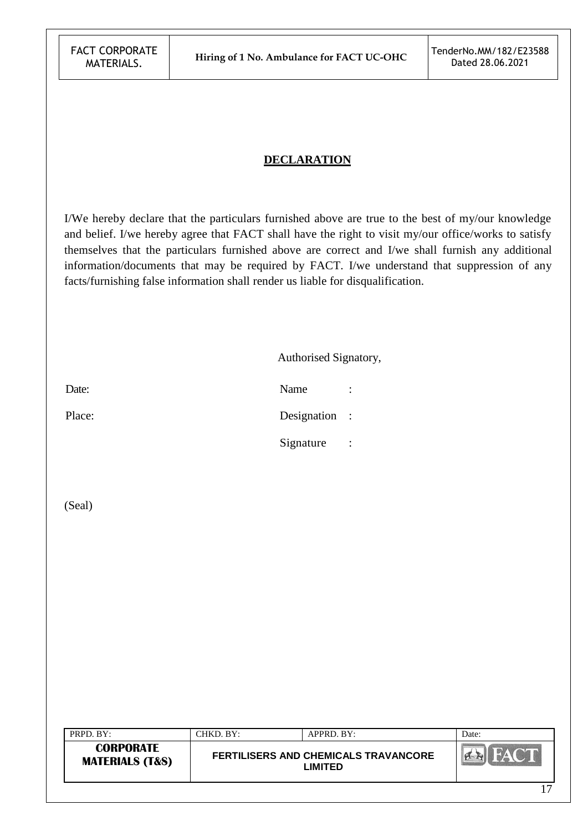### **DECLARATION**

I/We hereby declare that the particulars furnished above are true to the best of my/our knowledge and belief. I/we hereby agree that FACT shall have the right to visit my/our office/works to satisfy themselves that the particulars furnished above are correct and I/we shall furnish any additional information/documents that may be required by FACT. I/we understand that suppression of any facts/furnishing false information shall render us liable for disqualification.

| Authorised Signatory, |  |
|-----------------------|--|
|-----------------------|--|

Date: Name : Name : Name : Name : Name : Name : Name : Name : Name : Name : Name : Name : Name : Name : Name :  $\mathbb{R}$ Place: Designation : Signature :

(Seal)

| $PRPD$ . $BY:$                                 | CHKD. BY: | APPRD. BY:                                                    | Date:          |
|------------------------------------------------|-----------|---------------------------------------------------------------|----------------|
| <b>CORPORATE</b><br><b>MATERIALS (T&amp;S)</b> |           | <b>FERTILISERS AND CHEMICALS TRAVANCORE</b><br><b>LIMITED</b> |                |
|                                                |           |                                                               | 1 <sub>7</sub> |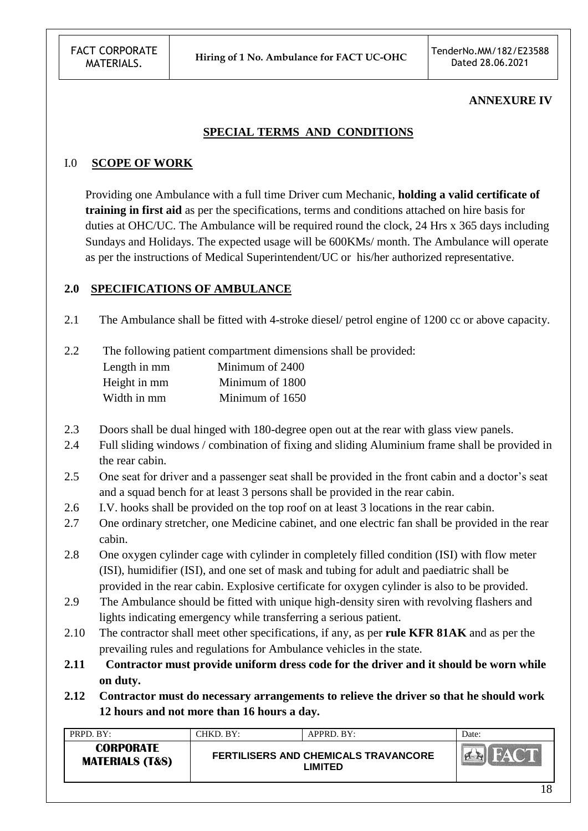#### **ANNEXURE IV**

## **SPECIAL TERMS AND CONDITIONS**

#### I.0 **SCOPE OF WORK**

 Providing one Ambulance with a full time Driver cum Mechanic, **holding a valid certificate of training in first aid** as per the specifications, terms and conditions attached on hire basis for duties at OHC/UC. The Ambulance will be required round the clock, 24 Hrs x 365 days including Sundays and Holidays. The expected usage will be 600KMs/ month. The Ambulance will operate as per the instructions of Medical Superintendent/UC or his/her authorized representative.

#### **2.0 SPECIFICATIONS OF AMBULANCE**

2.1 The Ambulance shall be fitted with 4-stroke diesel/ petrol engine of 1200 cc or above capacity.

2.2 The following patient compartment dimensions shall be provided:

| Length in mm | Minimum of 2400 |
|--------------|-----------------|
| Height in mm | Minimum of 1800 |
| Width in mm  | Minimum of 1650 |

- 2.3 Doors shall be dual hinged with 180-degree open out at the rear with glass view panels.
- 2.4 Full sliding windows / combination of fixing and sliding Aluminium frame shall be provided in the rear cabin.
- 2.5 One seat for driver and a passenger seat shall be provided in the front cabin and a doctor's seat and a squad bench for at least 3 persons shall be provided in the rear cabin.
- 2.6 I.V. hooks shall be provided on the top roof on at least 3 locations in the rear cabin.
- 2.7 One ordinary stretcher, one Medicine cabinet, and one electric fan shall be provided in the rear cabin.
- 2.8 One oxygen cylinder cage with cylinder in completely filled condition (ISI) with flow meter (ISI), humidifier (ISI), and one set of mask and tubing for adult and paediatric shall be provided in the rear cabin. Explosive certificate for oxygen cylinder is also to be provided.
- 2.9 The Ambulance should be fitted with unique high-density siren with revolving flashers and lights indicating emergency while transferring a serious patient.
- 2.10 The contractor shall meet other specifications, if any, as per **rule KFR 81AK** and as per the prevailing rules and regulations for Ambulance vehicles in the state.
- **2.11 Contractor must provide uniform dress code for the driver and it should be worn while on duty.**
- **2.12 Contractor must do necessary arrangements to relieve the driver so that he should work 12 hours and not more than 16 hours a day.**

| PRPD. BY:                                      | CHKD. BY: | APPRD. BY:                                             | Date: |
|------------------------------------------------|-----------|--------------------------------------------------------|-------|
| <b>CORPORATE</b><br><b>MATERIALS (T&amp;S)</b> |           | <b>FERTILISERS AND CHEMICALS TRAVANCORE</b><br>LIMITED |       |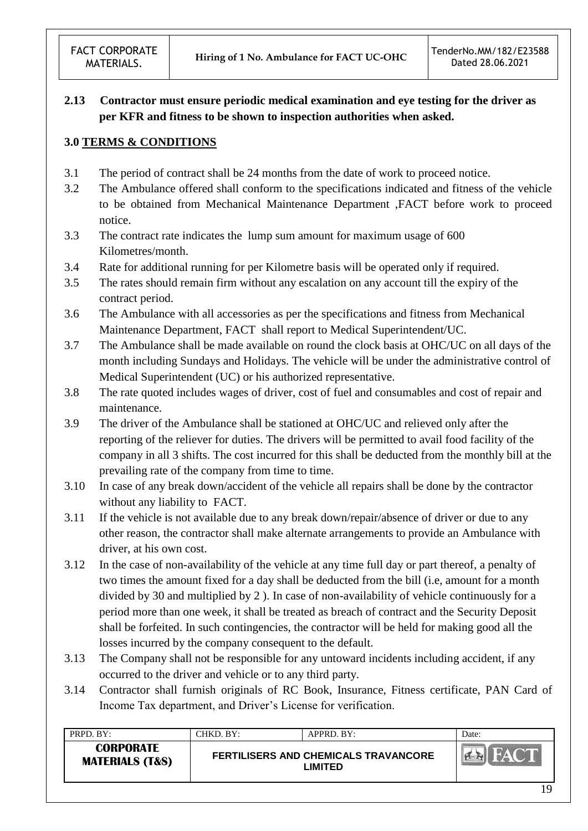# **2.13 Contractor must ensure periodic medical examination and eye testing for the driver as per KFR and fitness to be shown to inspection authorities when asked.**

# **3.0 TERMS & CONDITIONS**

- 3.1 The period of contract shall be 24 months from the date of work to proceed notice.
- 3.2 The Ambulance offered shall conform to the specifications indicated and fitness of the vehicle to be obtained from Mechanical Maintenance Department ,FACT before work to proceed notice.
- 3.3 The contract rate indicates the lump sum amount for maximum usage of 600 Kilometres/month.
- 3.4 Rate for additional running for per Kilometre basis will be operated only if required.
- 3.5 The rates should remain firm without any escalation on any account till the expiry of the contract period.
- 3.6 The Ambulance with all accessories as per the specifications and fitness from Mechanical Maintenance Department, FACT shall report to Medical Superintendent/UC.
- 3.7 The Ambulance shall be made available on round the clock basis at OHC/UC on all days of the month including Sundays and Holidays. The vehicle will be under the administrative control of Medical Superintendent (UC) or his authorized representative.
- 3.8 The rate quoted includes wages of driver, cost of fuel and consumables and cost of repair and maintenance.
- 3.9 The driver of the Ambulance shall be stationed at OHC/UC and relieved only after the reporting of the reliever for duties. The drivers will be permitted to avail food facility of the company in all 3 shifts. The cost incurred for this shall be deducted from the monthly bill at the prevailing rate of the company from time to time.
- 3.10 In case of any break down/accident of the vehicle all repairs shall be done by the contractor without any liability to FACT.
- 3.11 If the vehicle is not available due to any break down/repair/absence of driver or due to any other reason, the contractor shall make alternate arrangements to provide an Ambulance with driver, at his own cost.
- 3.12 In the case of non-availability of the vehicle at any time full day or part thereof, a penalty of two times the amount fixed for a day shall be deducted from the bill (i.e, amount for a month divided by 30 and multiplied by 2 ). In case of non-availability of vehicle continuously for a period more than one week, it shall be treated as breach of contract and the Security Deposit shall be forfeited. In such contingencies, the contractor will be held for making good all the losses incurred by the company consequent to the default.
- 3.13 The Company shall not be responsible for any untoward incidents including accident, if any occurred to the driver and vehicle or to any third party.
- 3.14 Contractor shall furnish originals of RC Book, Insurance, Fitness certificate, PAN Card of Income Tax department, and Driver"s License for verification.

| PRPD. BY:                                      | CHKD. BY: | $APPRD$ . BY:                                                 | Date: |
|------------------------------------------------|-----------|---------------------------------------------------------------|-------|
| <b>CORPORATE</b><br><b>MATERIALS (T&amp;S)</b> |           | <b>FERTILISERS AND CHEMICALS TRAVANCORE</b><br><b>LIMITED</b> |       |
|                                                |           |                                                               | .     |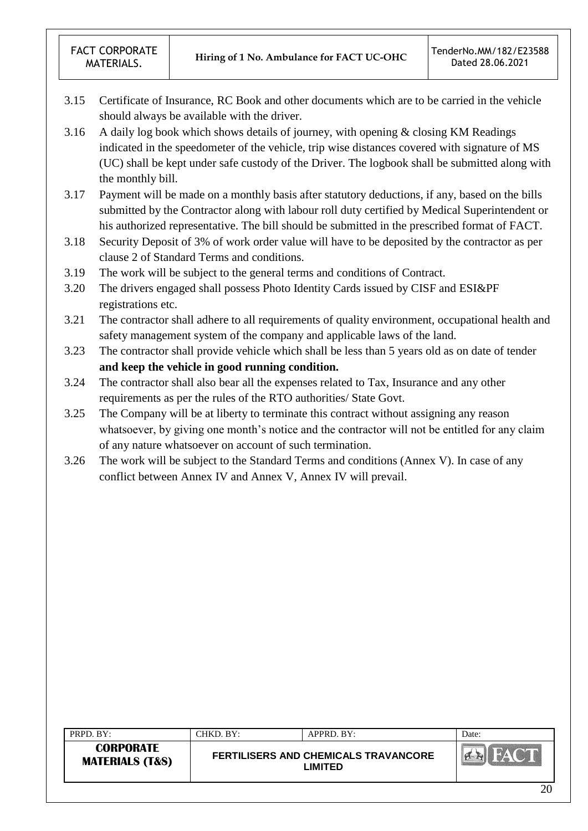- 3.15 Certificate of Insurance, RC Book and other documents which are to be carried in the vehicle should always be available with the driver.
- 3.16 A daily log book which shows details of journey, with opening & closing KM Readings indicated in the speedometer of the vehicle, trip wise distances covered with signature of MS (UC) shall be kept under safe custody of the Driver. The logbook shall be submitted along with the monthly bill.
- 3.17 Payment will be made on a monthly basis after statutory deductions, if any, based on the bills submitted by the Contractor along with labour roll duty certified by Medical Superintendent or his authorized representative. The bill should be submitted in the prescribed format of FACT.
- 3.18 Security Deposit of 3% of work order value will have to be deposited by the contractor as per clause 2 of Standard Terms and conditions.
- 3.19 The work will be subject to the general terms and conditions of Contract.
- 3.20 The drivers engaged shall possess Photo Identity Cards issued by CISF and ESI&PF registrations etc.
- 3.21 The contractor shall adhere to all requirements of quality environment, occupational health and safety management system of the company and applicable laws of the land.
- 3.23 The contractor shall provide vehicle which shall be less than 5 years old as on date of tender **and keep the vehicle in good running condition.**
- 3.24 The contractor shall also bear all the expenses related to Tax, Insurance and any other requirements as per the rules of the RTO authorities/ State Govt.
- 3.25 The Company will be at liberty to terminate this contract without assigning any reason whatsoever, by giving one month's notice and the contractor will not be entitled for any claim of any nature whatsoever on account of such termination.
- 3.26 The work will be subject to the Standard Terms and conditions (Annex V). In case of any conflict between Annex IV and Annex V, Annex IV will prevail.

| PRPD. BY:                                      | CHKD. BY: | APPRD. BY:                                             | Date:  |
|------------------------------------------------|-----------|--------------------------------------------------------|--------|
| <b>CORPORATE</b><br><b>MATERIALS (T&amp;S)</b> |           | FERTILISERS AND CHEMICALS TRAVANCORE<br><b>LIMITED</b> |        |
|                                                |           |                                                        | $\cap$ |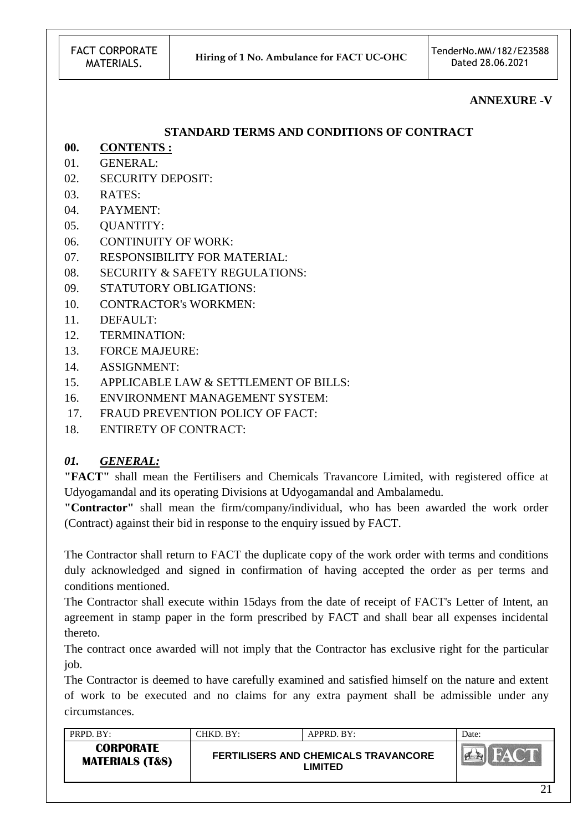#### **ANNEXURE -V**

#### **STANDARD TERMS AND CONDITIONS OF CONTRACT**

- **00. CONTENTS :**
- 01. GENERAL:
- 02. SECURITY DEPOSIT:
- 03. RATES:
- 04. PAYMENT:
- 05. QUANTITY:
- 06. CONTINUITY OF WORK:
- 07. RESPONSIBILITY FOR MATERIAL:
- 08. SECURITY & SAFETY REGULATIONS:
- 09. STATUTORY OBLIGATIONS:
- 10. CONTRACTOR's WORKMEN:
- 11. DEFAULT:
- 12. TERMINATION:
- 13. FORCE MAJEURE:
- 14. ASSIGNMENT:
- 15. APPLICABLE LAW & SETTLEMENT OF BILLS:
- 16. ENVIRONMENT MANAGEMENT SYSTEM:
- 17. FRAUD PREVENTION POLICY OF FACT:
- 18. ENTIRETY OF CONTRACT:

## *01. GENERAL:*

**"FACT"** shall mean the Fertilisers and Chemicals Travancore Limited, with registered office at Udyogamandal and its operating Divisions at Udyogamandal and Ambalamedu.

**"Contractor"** shall mean the firm/company/individual, who has been awarded the work order (Contract) against their bid in response to the enquiry issued by FACT.

The Contractor shall return to FACT the duplicate copy of the work order with terms and conditions duly acknowledged and signed in confirmation of having accepted the order as per terms and conditions mentioned.

The Contractor shall execute within 15days from the date of receipt of FACT's Letter of Intent, an agreement in stamp paper in the form prescribed by FACT and shall bear all expenses incidental thereto.

The contract once awarded will not imply that the Contractor has exclusive right for the particular job.

The Contractor is deemed to have carefully examined and satisfied himself on the nature and extent of work to be executed and no claims for any extra payment shall be admissible under any circumstances.

| PRPD. BY:                                      | CHKD. BY:- | APPRD. BY:                                             | Date:         |
|------------------------------------------------|------------|--------------------------------------------------------|---------------|
| <b>CORPORATE</b><br><b>MATERIALS (T&amp;S)</b> |            | <b>FERTILISERS AND CHEMICALS TRAVANCORE</b><br>LIMITED |               |
|                                                |            |                                                        | $\sim$ $\sim$ |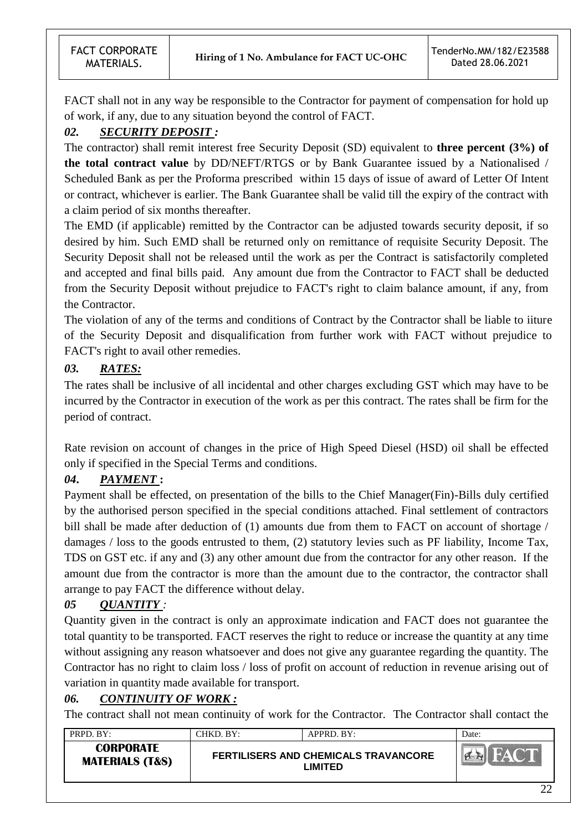FACT shall not in any way be responsible to the Contractor for payment of compensation for hold up of work, if any, due to any situation beyond the control of FACT.

# *02. SECURITY DEPOSIT :*

The contractor) shall remit interest free Security Deposit (SD) equivalent to **three percent (3%) of the total contract value** by DD/NEFT/RTGS or by Bank Guarantee issued by a Nationalised / Scheduled Bank as per the Proforma prescribed within 15 days of issue of award of Letter Of Intent or contract, whichever is earlier. The Bank Guarantee shall be valid till the expiry of the contract with a claim period of six months thereafter.

The EMD (if applicable) remitted by the Contractor can be adjusted towards security deposit, if so desired by him. Such EMD shall be returned only on remittance of requisite Security Deposit. The Security Deposit shall not be released until the work as per the Contract is satisfactorily completed and accepted and final bills paid. Any amount due from the Contractor to FACT shall be deducted from the Security Deposit without prejudice to FACT's right to claim balance amount, if any, from the Contractor.

The violation of any of the terms and conditions of Contract by the Contractor shall be liable to iiture of the Security Deposit and disqualification from further work with FACT without prejudice to FACT's right to avail other remedies.

# *03. RATES:*

The rates shall be inclusive of all incidental and other charges excluding GST which may have to be incurred by the Contractor in execution of the work as per this contract. The rates shall be firm for the period of contract.

Rate revision on account of changes in the price of High Speed Diesel (HSD) oil shall be effected only if specified in the Special Terms and conditions.

# *04***.** *PAYMENT* **:**

Payment shall be effected, on presentation of the bills to the Chief Manager(Fin)-Bills duly certified by the authorised person specified in the special conditions attached. Final settlement of contractors bill shall be made after deduction of (1) amounts due from them to FACT on account of shortage / damages / loss to the goods entrusted to them, (2) statutory levies such as PF liability, Income Tax, TDS on GST etc. if any and (3) any other amount due from the contractor for any other reason. If the amount due from the contractor is more than the amount due to the contractor, the contractor shall arrange to pay FACT the difference without delay.

# *05 QUANTITY :*

Quantity given in the contract is only an approximate indication and FACT does not guarantee the total quantity to be transported. FACT reserves the right to reduce or increase the quantity at any time without assigning any reason whatsoever and does not give any guarantee regarding the quantity. The Contractor has no right to claim loss / loss of profit on account of reduction in revenue arising out of variation in quantity made available for transport.

# *06. CONTINUITY OF WORK :*

The contract shall not mean continuity of work for the Contractor. The Contractor shall contact the

| PRPD. BY:                                      | CHKD. BY: | APPRD. BY:                                             | Date: |
|------------------------------------------------|-----------|--------------------------------------------------------|-------|
| <b>CORPORATE</b><br><b>MATERIALS (T&amp;S)</b> |           | <b>FERTILISERS AND CHEMICALS TRAVANCORE</b><br>LIMITED |       |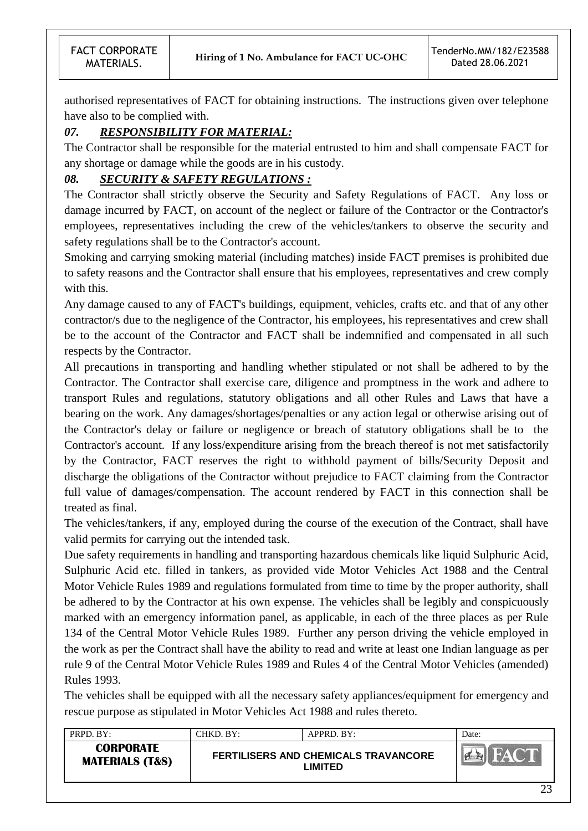authorised representatives of FACT for obtaining instructions. The instructions given over telephone have also to be complied with.

# *07. RESPONSIBILITY FOR MATERIAL:*

The Contractor shall be responsible for the material entrusted to him and shall compensate FACT for any shortage or damage while the goods are in his custody.

# *08. SECURITY & SAFETY REGULATIONS :*

The Contractor shall strictly observe the Security and Safety Regulations of FACT. Any loss or damage incurred by FACT, on account of the neglect or failure of the Contractor or the Contractor's employees, representatives including the crew of the vehicles/tankers to observe the security and safety regulations shall be to the Contractor's account.

Smoking and carrying smoking material (including matches) inside FACT premises is prohibited due to safety reasons and the Contractor shall ensure that his employees, representatives and crew comply with this.

Any damage caused to any of FACT's buildings, equipment, vehicles, crafts etc. and that of any other contractor/s due to the negligence of the Contractor, his employees, his representatives and crew shall be to the account of the Contractor and FACT shall be indemnified and compensated in all such respects by the Contractor.

All precautions in transporting and handling whether stipulated or not shall be adhered to by the Contractor. The Contractor shall exercise care, diligence and promptness in the work and adhere to transport Rules and regulations, statutory obligations and all other Rules and Laws that have a bearing on the work. Any damages/shortages/penalties or any action legal or otherwise arising out of the Contractor's delay or failure or negligence or breach of statutory obligations shall be to the Contractor's account. If any loss/expenditure arising from the breach thereof is not met satisfactorily by the Contractor, FACT reserves the right to withhold payment of bills/Security Deposit and discharge the obligations of the Contractor without prejudice to FACT claiming from the Contractor full value of damages/compensation. The account rendered by FACT in this connection shall be treated as final.

The vehicles/tankers, if any, employed during the course of the execution of the Contract, shall have valid permits for carrying out the intended task.

Due safety requirements in handling and transporting hazardous chemicals like liquid Sulphuric Acid, Sulphuric Acid etc. filled in tankers, as provided vide Motor Vehicles Act 1988 and the Central Motor Vehicle Rules 1989 and regulations formulated from time to time by the proper authority, shall be adhered to by the Contractor at his own expense. The vehicles shall be legibly and conspicuously marked with an emergency information panel, as applicable, in each of the three places as per Rule 134 of the Central Motor Vehicle Rules 1989. Further any person driving the vehicle employed in the work as per the Contract shall have the ability to read and write at least one Indian language as per rule 9 of the Central Motor Vehicle Rules 1989 and Rules 4 of the Central Motor Vehicles (amended) Rules 1993.

The vehicles shall be equipped with all the necessary safety appliances/equipment for emergency and rescue purpose as stipulated in Motor Vehicles Act 1988 and rules thereto.

| <b>CORPORATE</b><br><b>FERTILISERS AND CHEMICALS TRAVANCORE</b><br><b>CALLES</b><br><b>MATERIALS (T&amp;S)</b><br><b>LIMITED</b> | PRPD. BY: | CHKD. BY: | APPRD. BY: | Date: |
|----------------------------------------------------------------------------------------------------------------------------------|-----------|-----------|------------|-------|
|                                                                                                                                  |           |           |            |       |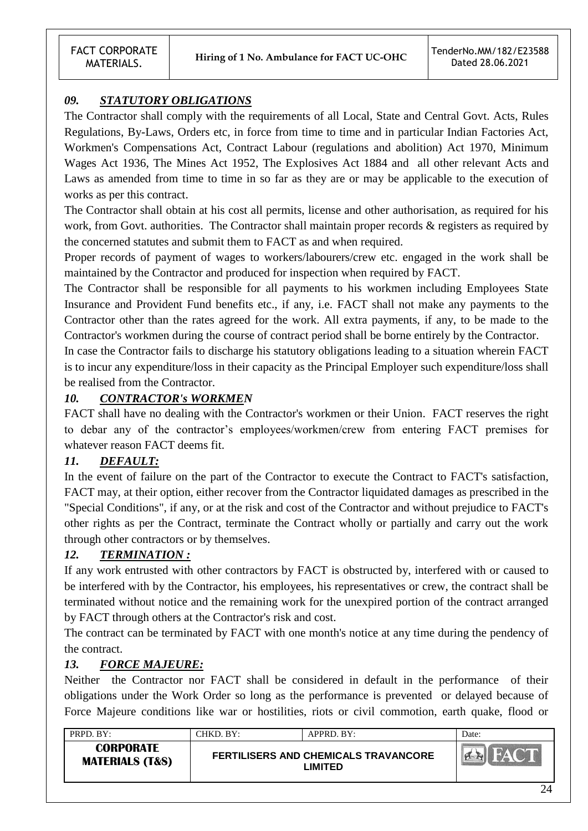# *09. STATUTORY OBLIGATIONS*

The Contractor shall comply with the requirements of all Local, State and Central Govt. Acts, Rules Regulations, By-Laws, Orders etc, in force from time to time and in particular Indian Factories Act, Workmen's Compensations Act, Contract Labour (regulations and abolition) Act 1970, Minimum Wages Act 1936, The Mines Act 1952, The Explosives Act 1884 and all other relevant Acts and Laws as amended from time to time in so far as they are or may be applicable to the execution of works as per this contract.

The Contractor shall obtain at his cost all permits, license and other authorisation, as required for his work, from Govt. authorities. The Contractor shall maintain proper records & registers as required by the concerned statutes and submit them to FACT as and when required.

Proper records of payment of wages to workers/labourers/crew etc. engaged in the work shall be maintained by the Contractor and produced for inspection when required by FACT.

The Contractor shall be responsible for all payments to his workmen including Employees State Insurance and Provident Fund benefits etc., if any, i.e. FACT shall not make any payments to the Contractor other than the rates agreed for the work. All extra payments, if any, to be made to the Contractor's workmen during the course of contract period shall be borne entirely by the Contractor.

In case the Contractor fails to discharge his statutory obligations leading to a situation wherein FACT is to incur any expenditure/loss in their capacity as the Principal Employer such expenditure/loss shall be realised from the Contractor.

## *10. CONTRACTOR's WORKMEN*

FACT shall have no dealing with the Contractor's workmen or their Union. FACT reserves the right to debar any of the contractor"s employees/workmen/crew from entering FACT premises for whatever reason FACT deems fit.

# *11. DEFAULT:*

In the event of failure on the part of the Contractor to execute the Contract to FACT's satisfaction, FACT may, at their option, either recover from the Contractor liquidated damages as prescribed in the "Special Conditions", if any, or at the risk and cost of the Contractor and without prejudice to FACT's other rights as per the Contract, terminate the Contract wholly or partially and carry out the work through other contractors or by themselves.

## *12. TERMINATION :*

If any work entrusted with other contractors by FACT is obstructed by, interfered with or caused to be interfered with by the Contractor, his employees, his representatives or crew, the contract shall be terminated without notice and the remaining work for the unexpired portion of the contract arranged by FACT through others at the Contractor's risk and cost.

The contract can be terminated by FACT with one month's notice at any time during the pendency of the contract.

## *13. FORCE MAJEURE:*

Neither the Contractor nor FACT shall be considered in default in the performance of their obligations under the Work Order so long as the performance is prevented or delayed because of Force Majeure conditions like war or hostilities, riots or civil commotion, earth quake, flood or

| PRPD. BY:                                      | CHKD. BY: | APPRD. BY:                                      | Date: |
|------------------------------------------------|-----------|-------------------------------------------------|-------|
| <b>CORPORATE</b><br><b>MATERIALS (T&amp;S)</b> |           | FERTILISERS AND CHEMICALS TRAVANCORE<br>_IMITED |       |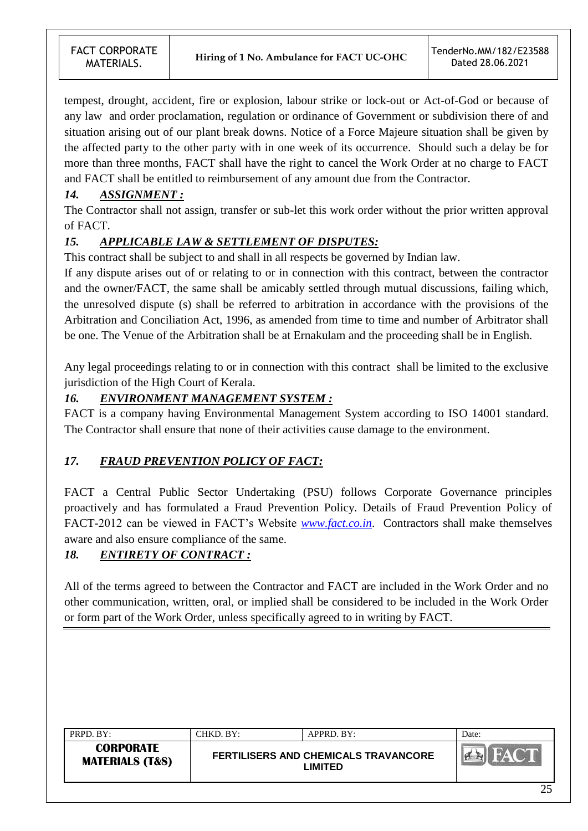tempest, drought, accident, fire or explosion, labour strike or lock-out or Act-of-God or because of any law and order proclamation, regulation or ordinance of Government or subdivision there of and situation arising out of our plant break downs. Notice of a Force Majeure situation shall be given by the affected party to the other party with in one week of its occurrence. Should such a delay be for more than three months, FACT shall have the right to cancel the Work Order at no charge to FACT and FACT shall be entitled to reimbursement of any amount due from the Contractor.

# *14. ASSIGNMENT :*

The Contractor shall not assign, transfer or sub-let this work order without the prior written approval of FACT.

# *15. APPLICABLE LAW & SETTLEMENT OF DISPUTES:*

This contract shall be subject to and shall in all respects be governed by Indian law.

If any dispute arises out of or relating to or in connection with this contract, between the contractor and the owner/FACT, the same shall be amicably settled through mutual discussions, failing which, the unresolved dispute (s) shall be referred to arbitration in accordance with the provisions of the Arbitration and Conciliation Act, 1996, as amended from time to time and number of Arbitrator shall be one. The Venue of the Arbitration shall be at Ernakulam and the proceeding shall be in English.

Any legal proceedings relating to or in connection with this contract shall be limited to the exclusive jurisdiction of the High Court of Kerala.

#### *16. ENVIRONMENT MANAGEMENT SYSTEM :*

FACT is a company having Environmental Management System according to ISO 14001 standard. The Contractor shall ensure that none of their activities cause damage to the environment.

## *17. FRAUD PREVENTION POLICY OF FACT:*

FACT a Central Public Sector Undertaking (PSU) follows Corporate Governance principles proactively and has formulated a Fraud Prevention Policy. Details of Fraud Prevention Policy of FACT-2012 can be viewed in FACT"s Website *[www.fact.co.in](http://www.fact.co.in/)*. Contractors shall make themselves aware and also ensure compliance of the same.

## *18. ENTIRETY OF CONTRACT :*

All of the terms agreed to between the Contractor and FACT are included in the Work Order and no other communication, written, oral, or implied shall be considered to be included in the Work Order or form part of the Work Order, unless specifically agreed to in writing by FACT.

| PRPD. BY:                                      | CHKD. BY: | APPRD. BY:                                                    | Date: |
|------------------------------------------------|-----------|---------------------------------------------------------------|-------|
| <b>CORPORATE</b><br><b>MATERIALS (T&amp;S)</b> |           | <b>FERTILISERS AND CHEMICALS TRAVANCORE</b><br><b>LIMITED</b> |       |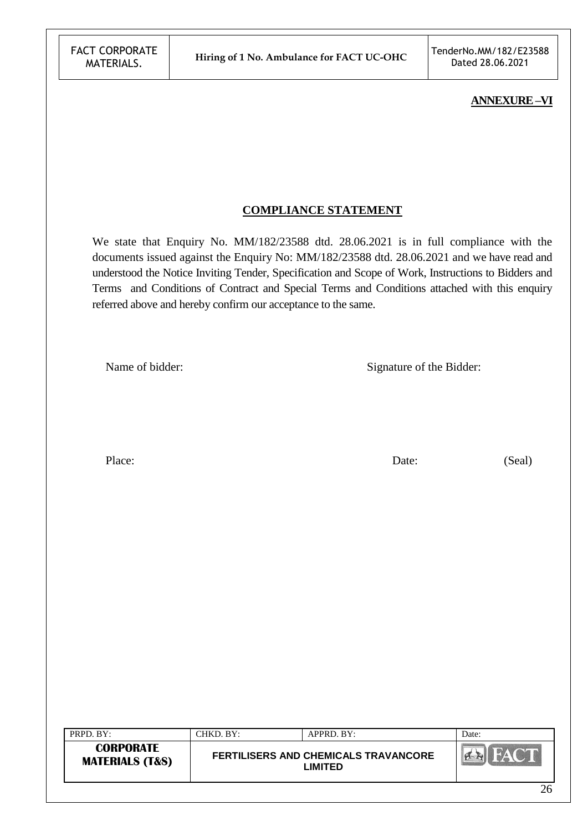#### **ANNEXURE –VI**

#### **COMPLIANCE STATEMENT**

We state that Enquiry No. MM/182/23588 dtd. 28.06.2021 is in full compliance with the documents issued against the Enquiry No: MM/182/23588 dtd. 28.06.2021 and we have read and understood the Notice Inviting Tender, Specification and Scope of Work, Instructions to Bidders and Terms and Conditions of Contract and Special Terms and Conditions attached with this enquiry referred above and hereby confirm our acceptance to the same.

Name of bidder: Signature of the Bidder:

Place: Date: (Seal)

| <b>CORPORATE</b><br><b>EXAMIN</b><br><b>FERTILISERS AND CHEMICALS TRAVANCORE</b><br><b>MATERIALS (T&amp;S)</b><br>_IMITED | PRPD. BY: | CHKD. BY: | APPRD. BY: | Date: |
|---------------------------------------------------------------------------------------------------------------------------|-----------|-----------|------------|-------|
|                                                                                                                           |           |           |            |       |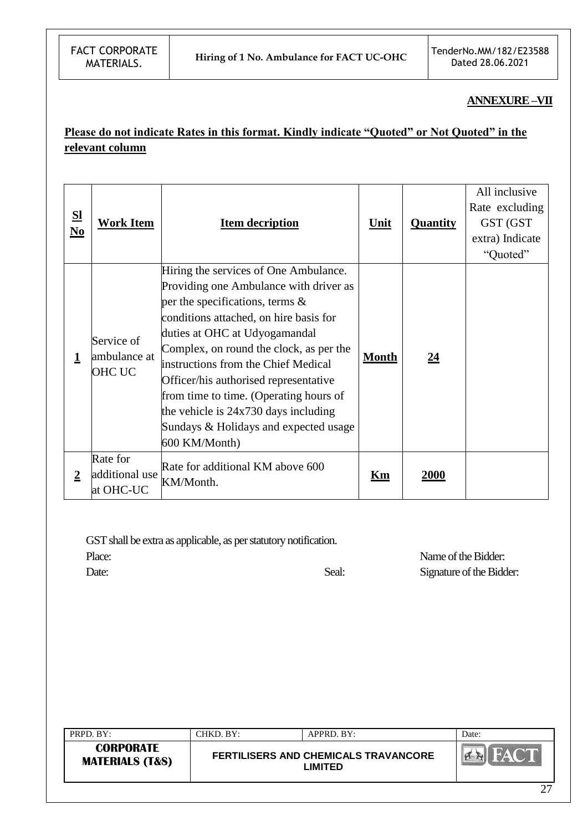#### **ANNEXURE –VII**

# **Please do not indicate Rates in this format. Kindly indicate "Quoted" or Not Quoted" in the relevant column**

| <u>SI</u><br>$\underline{\mathbf{No}}$ | <b>Work Item</b>                            | <b>Item decription</b>                                                                                                                                                                                                                                                                                                                                                                                                                                                    | <u>Unit</u>  | <b>Quantity</b> | All inclusive<br>Rate excluding<br>GST (GST<br>extra) Indicate<br>"Quoted" |
|----------------------------------------|---------------------------------------------|---------------------------------------------------------------------------------------------------------------------------------------------------------------------------------------------------------------------------------------------------------------------------------------------------------------------------------------------------------------------------------------------------------------------------------------------------------------------------|--------------|-----------------|----------------------------------------------------------------------------|
| 1                                      | Service of<br>ambulance at<br><b>OHC UC</b> | Hiring the services of One Ambulance.<br>Providing one Ambulance with driver as<br>per the specifications, terms $\&$<br>conditions attached, on hire basis for<br>duties at OHC at Udyogamandal<br>Complex, on round the clock, as per the<br>instructions from the Chief Medical<br>Officer/his authorised representative<br>from time to time. (Operating hours of<br>the vehicle is $24x730$ days including<br>Sundays & Holidays and expected usage<br>600 KM/Month) | <b>Month</b> | <u>24</u>       |                                                                            |
| $\overline{2}$                         | Rate for<br>additional use<br>at OHC-UC     | Rate for additional KM above 600<br>KM/Month.                                                                                                                                                                                                                                                                                                                                                                                                                             | Km           | <b>2000</b>     |                                                                            |

GST shall be extra as applicable, as per statutory notification.

Place: Name of the Bidder: Date: Seal: Signature of the Bidder:

| PRPD. BY:                                      | CHKD. BY: | APPRD. BY:                                             | Date: |
|------------------------------------------------|-----------|--------------------------------------------------------|-------|
| <b>CORPORATE</b><br><b>MATERIALS (T&amp;S)</b> |           | <b>FERTILISERS AND CHEMICALS TRAVANCORE</b><br>_IMITED |       |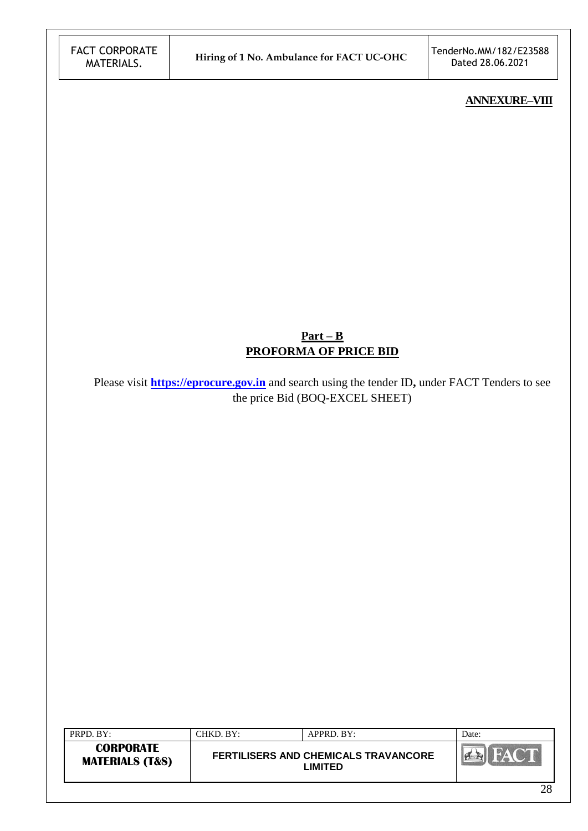#### **ANNEXURE–VIII**

# **Part – B PROFORMA OF PRICE BID**

Please visit **[https://eprocure.gov.in](https://eprocure.gov.in/)** and search using the tender ID**,** under FACT Tenders to see the price Bid (BOQ-EXCEL SHEET)

| PRPD. BY:                                      | CHKD. BY: | APPRD. BY:                                             | Date:         |
|------------------------------------------------|-----------|--------------------------------------------------------|---------------|
| <b>CORPORATE</b><br><b>MATERIALS (T&amp;S)</b> |           | <b>FERTILISERS AND CHEMICALS TRAVANCORE</b><br>∟IMITED |               |
|                                                |           |                                                        | $\sim$ $\sim$ |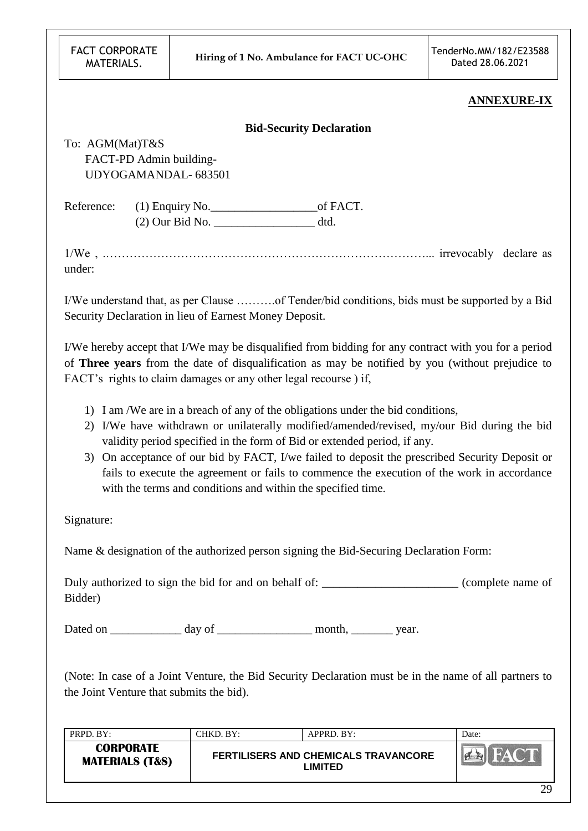| <b>FACT CORPORATE</b> |
|-----------------------|
| MATERIALS.            |

#### **ANNEXURE-IX**

|                 |                                                        | <b>Bid-Security Declaration</b>                                                                                                                                                                                                                                             |
|-----------------|--------------------------------------------------------|-----------------------------------------------------------------------------------------------------------------------------------------------------------------------------------------------------------------------------------------------------------------------------|
| To: AGM(Mat)T&S |                                                        |                                                                                                                                                                                                                                                                             |
|                 | FACT-PD Admin building-                                |                                                                                                                                                                                                                                                                             |
|                 | UDYOGAMANDAL-683501                                    |                                                                                                                                                                                                                                                                             |
|                 |                                                        |                                                                                                                                                                                                                                                                             |
|                 | $(2)$ Our Bid No. $\qquad \qquad \text{d}t$            |                                                                                                                                                                                                                                                                             |
| under:          |                                                        |                                                                                                                                                                                                                                                                             |
|                 | Security Declaration in lieu of Earnest Money Deposit. | I/We understand that, as per Clause of Tender/bid conditions, bids must be supported by a Bid                                                                                                                                                                               |
|                 |                                                        | I/We hereby accept that I/We may be disqualified from bidding for any contract with you for a period<br>of Three years from the date of disqualification as may be notified by you (without prejudice to<br>FACT's rights to claim damages or any other legal recourse) if, |

- 1) I am /We are in a breach of any of the obligations under the bid conditions,
- 2) I/We have withdrawn or unilaterally modified/amended/revised, my/our Bid during the bid validity period specified in the form of Bid or extended period, if any.
- 3) On acceptance of our bid by FACT, I/we failed to deposit the prescribed Security Deposit or fails to execute the agreement or fails to commence the execution of the work in accordance with the terms and conditions and within the specified time.

Signature:

Name & designation of the authorized person signing the Bid-Securing Declaration Form:

Duly authorized to sign the bid for and on behalf of:  $\qquad \qquad$  (complete name of Bidder)

Dated on \_\_\_\_\_\_\_\_\_\_\_\_\_ day of \_\_\_\_\_\_\_\_\_\_\_\_\_\_\_\_\_\_\_ month, \_\_\_\_\_\_\_\_\_ year.

(Note: In case of a Joint Venture, the Bid Security Declaration must be in the name of all partners to the Joint Venture that submits the bid).

| PRPD. BY:                                      | CHKD. BY:- | APPRD. BY:                                                   | Date:  |
|------------------------------------------------|------------|--------------------------------------------------------------|--------|
| <b>CORPORATE</b><br><b>MATERIALS (T&amp;S)</b> |            | <b>FERTILISERS AND CHEMICALS TRAVANCORE</b><br><b>IMITED</b> |        |
|                                                |            |                                                              | $\sim$ |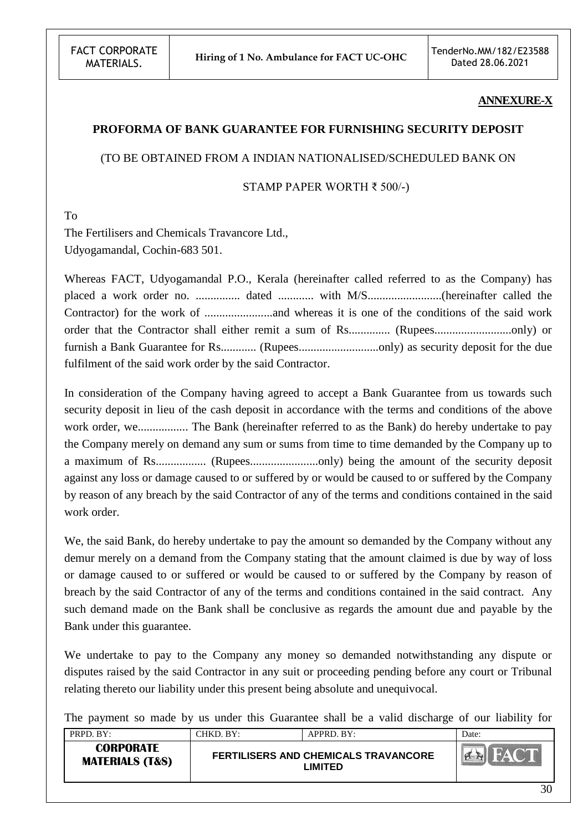#### **ANNEXURE-X**

#### **PROFORMA OF BANK GUARANTEE FOR FURNISHING SECURITY DEPOSIT**

#### (TO BE OBTAINED FROM A INDIAN NATIONALISED/SCHEDULED BANK ON

STAMP PAPER WORTH ₹ 500/-)

To

The Fertilisers and Chemicals Travancore Ltd., Udyogamandal, Cochin-683 501.

Whereas FACT, Udyogamandal P.O., Kerala (hereinafter called referred to as the Company) has placed a work order no. ............... dated ............ with M/S.........................(hereinafter called the Contractor) for the work of .......................and whereas it is one of the conditions of the said work order that the Contractor shall either remit a sum of Rs.............. (Rupees..........................only) or furnish a Bank Guarantee for Rs............ (Rupees...........................only) as security deposit for the due fulfilment of the said work order by the said Contractor.

In consideration of the Company having agreed to accept a Bank Guarantee from us towards such security deposit in lieu of the cash deposit in accordance with the terms and conditions of the above work order, we................. The Bank (hereinafter referred to as the Bank) do hereby undertake to pay the Company merely on demand any sum or sums from time to time demanded by the Company up to a maximum of Rs................. (Rupees.......................only) being the amount of the security deposit against any loss or damage caused to or suffered by or would be caused to or suffered by the Company by reason of any breach by the said Contractor of any of the terms and conditions contained in the said work order.

We, the said Bank, do hereby undertake to pay the amount so demanded by the Company without any demur merely on a demand from the Company stating that the amount claimed is due by way of loss or damage caused to or suffered or would be caused to or suffered by the Company by reason of breach by the said Contractor of any of the terms and conditions contained in the said contract. Any such demand made on the Bank shall be conclusive as regards the amount due and payable by the Bank under this guarantee.

We undertake to pay to the Company any money so demanded notwithstanding any dispute or disputes raised by the said Contractor in any suit or proceeding pending before any court or Tribunal relating thereto our liability under this present being absolute and unequivocal.

The payment so made by us under this Guarantee shall be a valid discharge of our liability for

| PRPD. BY:                                      | CHKD. BY: | APPRD. BY:                                             | Date: |
|------------------------------------------------|-----------|--------------------------------------------------------|-------|
| <b>CORPORATE</b><br><b>MATERIALS (T&amp;S)</b> |           | <b>FERTILISERS AND CHEMICALS TRAVANCORE</b><br>LIMITED | FACT  |
|                                                |           |                                                        | 30    |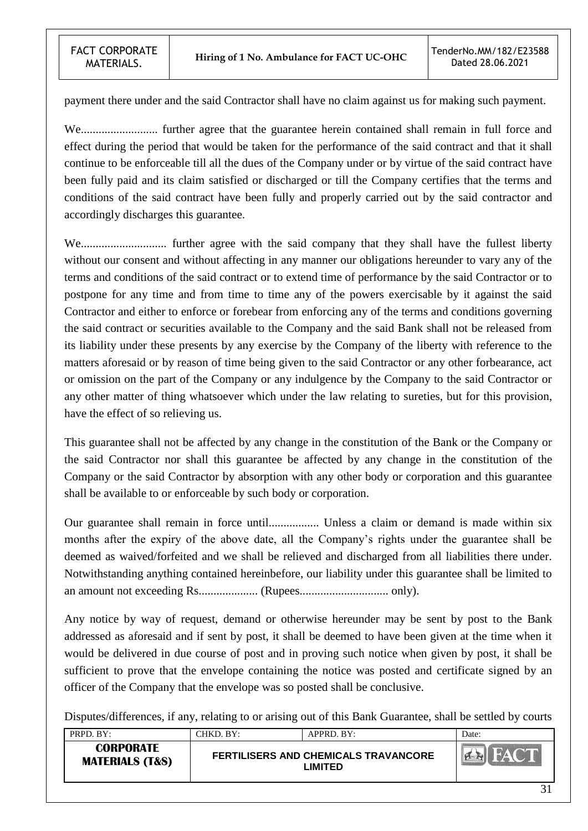payment there under and the said Contractor shall have no claim against us for making such payment.

We.......................... further agree that the guarantee herein contained shall remain in full force and effect during the period that would be taken for the performance of the said contract and that it shall continue to be enforceable till all the dues of the Company under or by virtue of the said contract have been fully paid and its claim satisfied or discharged or till the Company certifies that the terms and conditions of the said contract have been fully and properly carried out by the said contractor and accordingly discharges this guarantee.

We............................. further agree with the said company that they shall have the fullest liberty without our consent and without affecting in any manner our obligations hereunder to vary any of the terms and conditions of the said contract or to extend time of performance by the said Contractor or to postpone for any time and from time to time any of the powers exercisable by it against the said Contractor and either to enforce or forebear from enforcing any of the terms and conditions governing the said contract or securities available to the Company and the said Bank shall not be released from its liability under these presents by any exercise by the Company of the liberty with reference to the matters aforesaid or by reason of time being given to the said Contractor or any other forbearance, act or omission on the part of the Company or any indulgence by the Company to the said Contractor or any other matter of thing whatsoever which under the law relating to sureties, but for this provision, have the effect of so relieving us.

This guarantee shall not be affected by any change in the constitution of the Bank or the Company or the said Contractor nor shall this guarantee be affected by any change in the constitution of the Company or the said Contractor by absorption with any other body or corporation and this guarantee shall be available to or enforceable by such body or corporation.

Our guarantee shall remain in force until................. Unless a claim or demand is made within six months after the expiry of the above date, all the Company"s rights under the guarantee shall be deemed as waived/forfeited and we shall be relieved and discharged from all liabilities there under. Notwithstanding anything contained hereinbefore, our liability under this guarantee shall be limited to an amount not exceeding Rs.................... (Rupees.............................. only).

Any notice by way of request, demand or otherwise hereunder may be sent by post to the Bank addressed as aforesaid and if sent by post, it shall be deemed to have been given at the time when it would be delivered in due course of post and in proving such notice when given by post, it shall be sufficient to prove that the envelope containing the notice was posted and certificate signed by an officer of the Company that the envelope was so posted shall be conclusive.

Disputes/differences, if any, relating to or arising out of this Bank Guarantee, shall be settled by courts

| PRPD. BY:                                      | CHKD. BY:- | APPRD. BY:                                             | Date:    |
|------------------------------------------------|------------|--------------------------------------------------------|----------|
| <b>CORPORATE</b><br><b>MATERIALS (T&amp;S)</b> |            | <b>FERTILISERS AND CHEMICALS TRAVANCORE</b><br>LIMITED |          |
|                                                |            |                                                        | $\sim$ 1 |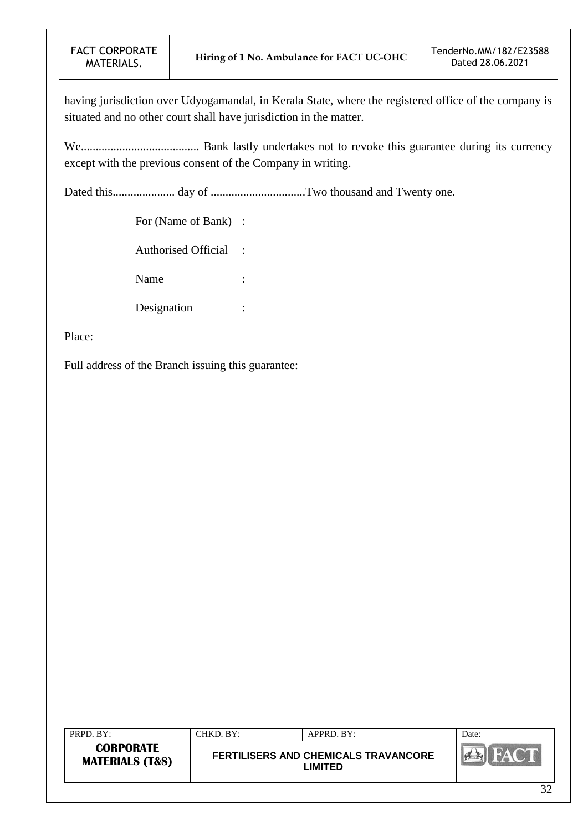having jurisdiction over Udyogamandal, in Kerala State, where the registered office of the company is situated and no other court shall have jurisdiction in the matter.

We........................................ Bank lastly undertakes not to revoke this guarantee during its currency except with the previous consent of the Company in writing.

Dated this..................... day of ................................Two thousand and Twenty one.

For (Name of Bank) :

Authorised Official :

Name :

Designation :

Place:

Full address of the Branch issuing this guarantee:

| PRPD. BY:                                      | CHKD, BY: | APPRD. BY:                                      | Date:  |
|------------------------------------------------|-----------|-------------------------------------------------|--------|
| <b>CORPORATE</b><br><b>MATERIALS (T&amp;S)</b> |           | FERTILISERS AND CHEMICALS TRAVANCORE<br>_IMITED |        |
|                                                |           |                                                 | $\sim$ |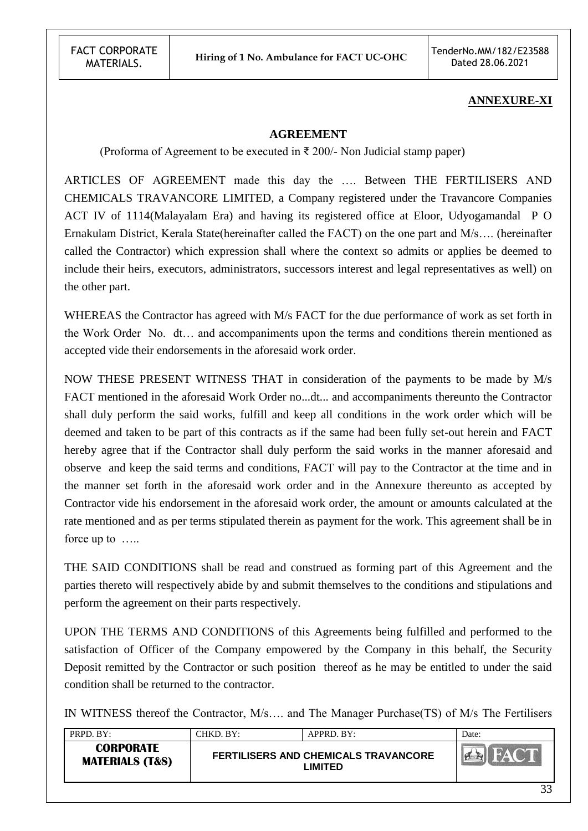## **ANNEXURE-XI**

#### **AGREEMENT**

(Proforma of Agreement to be executed in  $\bar{\tau}$  200/- Non Judicial stamp paper)

ARTICLES OF AGREEMENT made this day the …. Between THE FERTILISERS AND CHEMICALS TRAVANCORE LIMITED, a Company registered under the Travancore Companies ACT IV of 1114(Malayalam Era) and having its registered office at Eloor, Udyogamandal P O Ernakulam District, Kerala State(hereinafter called the FACT) on the one part and M/s…. (hereinafter called the Contractor) which expression shall where the context so admits or applies be deemed to include their heirs, executors, administrators, successors interest and legal representatives as well) on the other part.

WHEREAS the Contractor has agreed with M/s FACT for the due performance of work as set forth in the Work Order No. dt… and accompaniments upon the terms and conditions therein mentioned as accepted vide their endorsements in the aforesaid work order.

NOW THESE PRESENT WITNESS THAT in consideration of the payments to be made by M/s FACT mentioned in the aforesaid Work Order no...dt... and accompaniments thereunto the Contractor shall duly perform the said works, fulfill and keep all conditions in the work order which will be deemed and taken to be part of this contracts as if the same had been fully set-out herein and FACT hereby agree that if the Contractor shall duly perform the said works in the manner aforesaid and observe and keep the said terms and conditions, FACT will pay to the Contractor at the time and in the manner set forth in the aforesaid work order and in the Annexure thereunto as accepted by Contractor vide his endorsement in the aforesaid work order, the amount or amounts calculated at the rate mentioned and as per terms stipulated therein as payment for the work. This agreement shall be in force up to …..

THE SAID CONDITIONS shall be read and construed as forming part of this Agreement and the parties thereto will respectively abide by and submit themselves to the conditions and stipulations and perform the agreement on their parts respectively.

UPON THE TERMS AND CONDITIONS of this Agreements being fulfilled and performed to the satisfaction of Officer of the Company empowered by the Company in this behalf, the Security Deposit remitted by the Contractor or such position thereof as he may be entitled to under the said condition shall be returned to the contractor.

IN WITNESS thereof the Contractor, M/s…. and The Manager Purchase(TS) of M/s The Fertilisers

| PRPD. BY:                                      | CHKD. BY:- | APPRD. BY:                                             | Date:     |
|------------------------------------------------|------------|--------------------------------------------------------|-----------|
| <b>CORPORATE</b><br><b>MATERIALS (T&amp;S)</b> |            | <b>FERTILISERS AND CHEMICALS TRAVANCORE</b><br>LIMITED |           |
|                                                |            |                                                        | $\bigcap$ |